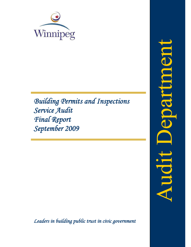

*Building Permits and Inspections Service Audit Final Report September 2009*

*Leaders in building public trust in civic government*

epartnes Audit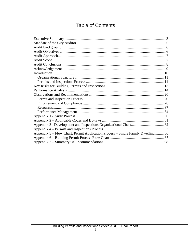# **Table of Contents**

| Appendix 5 - Flow Chart: Permit Application Process - Single Family Dwelling  66 |  |
|----------------------------------------------------------------------------------|--|
|                                                                                  |  |
|                                                                                  |  |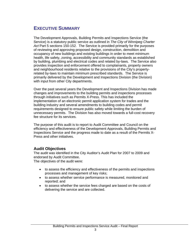# **EXECUTIVE SUMMARY**

The Development Approvals, Building Permits and Inspections Service (the Service) is a statutory public service as outlined in *The City of Winnipeg Charter Act* Part 5 sections 150-152. The Service is provided primarily for the purposes of reviewing and approving proposed design, construction, demolition and occupancy of new buildings and existing buildings in order to meet minimum health, life safety, zoning, accessibility and community standards as established by building, plumbing and electrical codes and related by-laws. The Service also provides inspection and enforcement offered to complainants, property owners and neighbourhood residents relative to the provisions of the City's propertyrelated by-laws to maintain minimum prescribed standards. The Service is primarily delivered by the Development and Inspections Division (the Division) with input from other City departments.

Over the past several years the Development and Inspections Division has made changes and improvements to the building permits and inspections processes through initiatives such as Permits X-Press. This has included the implementation of an electronic permit application system for trades and the building industry and several amendments to building codes and permit requirements designed to ensure public safety while limiting the burden of unnecessary permits. The Division has also moved towards a full-cost recovery fee structure for its services.

The purpose of this audit is to report to Audit Committee and Council on the efficiency and effectiveness of the Development Approvals, Building Permits and Inspections Service and the progress made to date as a result of the Permits X-Press and other initiatives.

### **Audit Objectives**

The audit was identified in the City Auditor's Audit Plan for 2007 to 2009 and endorsed by Audit Committee.

The objectives of the audit were:

- to assess the efficiency and effectiveness of the permits and inspections processes and management of key risks;
- to assess whether service performance is measured, monitored and reported; and
- to assess whether the service fees charged are based on the costs of delivering the service and are collected.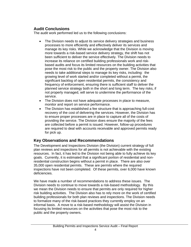## **Audit Conclusions**

The audit work performed led us to the following conclusions:

- The Division needs to adjust its service delivery strategies and business processes to more efficiently and effectively deliver its services and manage its key risks. While we acknowledge that the Division is moving more towards a risk-based service delivery strategy, the shift has not been sufficient to deliver the service effectively. The Division needs to increase its reliance on certified building professionals work and riskbased audits and focus its limited resources on the building activities that pose the most risk to the public and the property owner. The Division also needs to take additional steps to manage its key risks, including: the growing level of work started and/or completed without a permit, the significant backlog of open residential permits, the consistency and frequency of enforcement, ensuring there is sufficient staff to deliver the planned service strategy both in the short and long term. The key risks, if not properly managed, will serve to undermine the performance of the service.
- The Division does not have adequate processes in place to measure, monitor and report on service performance.
- The Division has established a fee structure that is approaching full-cost recovery of the cost of delivering the services. However, the Division has to ensure proper processes are in place to capture all of the costs of providing the service. The Division does ensure the majority of the fees are collected before a permit is issued. However, follow-up procedures are required to deal with accounts receivable and approved permits ready for pick up.

### **Key Observations and Recommendations**

The Development and Inspections Division (the Division) current strategy of full plan reviews and inspections for all permits is not achievable with the existing resources. In fact, it has led to the Division not being able to fully achieve its key goals. Currently, it is estimated that a significant portion of residential and nonresidential construction begins without a permit in place. There are also over 35,000 open residential permits. These are permits where the required inspections have not been completed. Of these permits, over 6,000 have known deficiencies.

We have made a number of recommendations to address these issues. The Division needs to continue to move towards a risk-based methodology. By this we mean the Division needs to ensure that permits are only required for higher risk building activities. The Division also has to rely more on the work of certified building professionals for both plan reviews and inspections. The Division needs to formalize many of the risk-based practices they currently employ on an informal basis. A move to a risk-based methodology will assist the Division in focusing its limited resources on the activities that pose the most risk to the public and the property owners.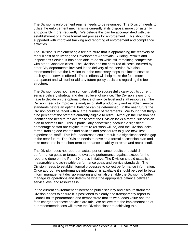The Division's enforcement regime needs to be revamped. The Division needs to utilize the enforcement mechanisms currently at its disposal more consistently and possibly more frequently. We believe this can be accomplished with the establishment of a more formalized process for enforcement. This should be supported with improved tracking and reporting of enforcement and compliance activities.

The Division is implementing a fee structure that is approaching the recovery of the full cost of delivering the Development Approvals, Building Permits and Inspections Service. It has been able to do so while still remaining competitive with other Canadian cities. The Division has not captured all costs incurred by other City departments involved in the delivery of the service. We also recommended that the Division take the necessary steps to allocate costs to each type of service offered. These efforts will help make the fees more transparent and will further aid any future policy decisions regarding the fee structure.

The Division does not have sufficient staff to successfully carry out its current service delivery strategy and desired level of service. The Division is going to have to decide on the optimal balance of service level and staff resources. The Division needs to improve its analysis of staff productivity and establish service standards before an optimal balance can be determined. In the near future the Division could be faced with a large number of retirements. We found that thirtynine percent of the staff are currently eligible to retire. Although the Division has identified the need to replace these staff, the Division lacks a formal succession plan to address this. This is particularly concerning because a significant percentage of staff are eligible to retire (or soon will be) and the Division lacks formal training documents and policies and procedures to guide new, less experienced, staff. This left unaddressed could result in a significant service gap in the near future. The Division needs to develop a formal succession plan and take measures in the short term to enhance its ability to retain and recruit staff.

The Division does not report on actual performance results or establish performance goals or targets to evaluate performance against except for the reporting done on the Permit X-press initiative. The Division should establish measurable and achievable performance goals and service standards. The Division needs to establish formal processes to collect performance information. Once appropriate performance information is available it should be used to better inform management decision-making and will also enable the Division to better manage its operations and determine what the appropriate balance between service level and resources is.

In the current environment of increased public scrutiny and fiscal restraint the Division needs to ensure it is positioned to clearly and transparently report to Council on its performance and demonstrate that its work adds value and the fees charged for these services are fair. We believe that the implementation of our recommendations will move the Division closer to achieving this.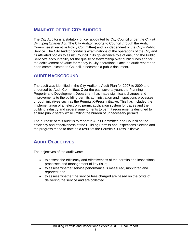# **MANDATE OF THE CITY AUDITOR**

The City Auditor is a statutory officer appointed by City Council under the *City of Winnipeg Charter Act*. The City Auditor reports to Council through the Audit Committee (Executive Policy Committee) and is independent of the City's Public Service. The City Auditor conducts examinations of the operations of the City and its affiliated bodies to assist Council in its governance role of ensuring the Public Service's accountability for the quality of stewardship over public funds and for the achievement of value for money in City operations. Once an audit report has been communicated to Council, it becomes a public document.

# **AUDIT BACKGROUND**

The audit was identified in the City Auditor's Audit Plan for 2007 to 2009 and endorsed by Audit Committee. Over the past several years the Planning, Property and Development Department has made significant changes and improvements to the building permits administration and inspections processes through initiatives such as the Permits X-Press initiative. This has included the implementation of an electronic permit application system for trades and the building industry and several amendments to permit requirements designed to ensure public safety while limiting the burden of unnecessary permits.

The purpose of this audit is to report to Audit Committee and Council on the efficiency and effectiveness of the Building Permits and Inspections Service and the progress made to date as a result of the Permits X-Press initiative.

# **AUDIT OBJECTIVES**

The objectives of the audit were:

- to assess the efficiency and effectiveness of the permits and inspections processes and management of key risks;
- to assess whether service performance is measured, monitored and reported; and
- to assess whether the service fees charged are based on the costs of delivering the service and are collected.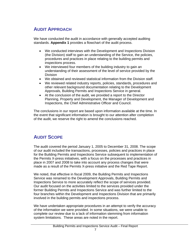# **AUDIT APPROACH**

We have conducted the audit in accordance with generally accepted auditing standards. **Appendix 1** provides a flowchart of the audit process.

- We conducted interviews with the Development and Inspections Division (the Division) staff to gain an understanding of the Service, the policies, procedures and practices in place relating to the building permits and inspections process.
- We interviewed four members of the building industry to gain an understanding of their assessment of the level of service provided by the Division
- We obtained and reviewed statistical information from the Division staff.
- We reviewed related industry reports, policies, standards, procedures and other relevant background documentation relating to the Development Approvals, Building Permits and Inspections Service in general.
- At the conclusion of the audit, we provided a report to the Director Planning, Property and Development, the Manager of Development and Inspections, the Chief Administrative Officer and Council.

The conclusions in our report are based upon information available at the time. In the event that significant information is brought to our attention after completion of the audit, we reserve the right to amend the conclusions reached.

# **AUDIT SCOPE**

The audit covered the period January 1, 2005 to December 31, 2008. The scope of our audit included the transactions, processes, policies and practices in place for the Building Permits and Inspections Service subsequent to implementation of the Permits X-press initiatives, with a focus on the processes and practices in place in 2007 and 2008 to take into account any process changes that were made as a result of the Permits X-press initiative and the Red Tape Report.

We noted, that effective in fiscal 2009, the Building Permits and Inspections Service was renamed to the Development Approvals, Building Permits and Inspections Service to more accurately reflect the scope of services provided. Our audit focused on the activities limited to the services provided under the former Building Permits and Inspections Service and was further limited to the four branches within the Development and Inspections Division that are primarily involved in the building permits and inspections process.

We have undertaken appropriate procedures in an attempt to verify the accuracy of the information we were provided. In some situations, we were unable to complete our review due to a lack of information stemming from information system limitations. These areas are noted in the report.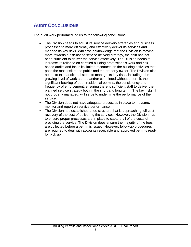# **AUDIT CONCLUSIONS**

The audit work performed led us to the following conclusions:

- The Division needs to adjust its service delivery strategies and business processes to more efficiently and effectively deliver its services and manage its key risks. While we acknowledge that the Division is moving more towards a risk-based service delivery strategy, the shift has not been sufficient to deliver the service effectively. The Division needs to increase its reliance on certified building professionals work and riskbased audits and focus its limited resources on the building activities that pose the most risk to the public and the property owner. The Division also needs to take additional steps to manage its key risks, including: the growing level of work started and/or completed without a permit, the significant backlog of open residential permits, the consistency and frequency of enforcement, ensuring there is sufficient staff to deliver the planned service strategy both in the short and long term. The key risks, if not properly managed, will serve to undermine the performance of the service.
- The Division does not have adequate processes in place to measure, monitor and report on service performance.
- The Division has established a fee structure that is approaching full-cost recovery of the cost of delivering the services. However, the Division has to ensure proper processes are in place to capture all of the costs of providing the service. The Division does ensure the majority of the fees are collected before a permit is issued. However, follow-up procedures are required to deal with accounts receivable and approved permits ready for pick up.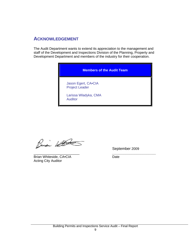## **ACKNOWLEDGEMENT**

The Audit Department wants to extend its appreciation to the management and staff of the Development and Inspections Division of the Planning, Property and Development Department and members of the industry for their cooperation.

# **Members of the Audit Team**

Jason Egert, CA•CIA Project Leader

Larissa Wladyka, CMA Auditor

Busi With

\_\_\_\_\_\_\_\_\_\_\_\_\_\_\_\_\_\_\_\_\_\_\_\_ *\_\_\_\_\_\_\_\_\_\_\_\_\_\_\_\_\_\_\_\_\_\_\_* Brian Whiteside, CA•CIA Date Acting City Auditor

September 2009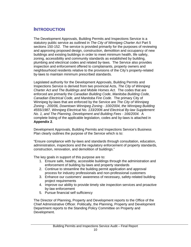# **INTRODUCTION**

The Development Approvals, Building Permits and Inspections Service is a statutory public service as outlined in *The City of Winnipeg Charter Act* Part 5 sections 150-152. The service is provided primarily for the purposes of reviewing and approving proposed design, construction, demolition and occupancy of new buildings and existing buildings in order to meet minimum health, life safety, zoning, accessibility and community standards as established by building, plumbing and electrical codes and related by-laws. The Service also provides inspection and enforcement offered to complainants, property owners and neighbourhood residents relative to the provisions of the City's property-related by-laws to maintain minimum prescribed standards.

Legislated authority for the Development Approvals, Building Permits and Inspections Service is derived from two provincial Acts, *The City of Winnipeg Charter Act and The Buildings and Mobile Homes Act*. The codes that are enforced are primarily the *Canadian Building Code*, *Manitoba Building Code, Canadian Electrical Code, and Manitoba Fire Code*. The primary City of Winnipeg by-laws that are enforced by the Service are *The City of Winnipeg Zoning - 200/06, Downtown Winnipeg Zoning - 100/2004, the Winnipeg Building 4555/1987, Winnipeg Electrical No. 133/2006 and Electrical By-law Supplement No. 1, and The Planning, Development and Building Fees - 166/2004.* A complete listing of the applicable legislation, codes and by-laws is attached in **Appendix 2**.

Development Approvals, Building Permits and Inspections Service's Business Plan clearly outlines the purpose of the Service which is to:

"Ensure compliance with by-laws and standards through consultation, education, administration, inspections and the regulatory enforcement of property standards, construction, renovation, and demolition of buildings."

The key goals in support of this purpose are to:

- 1. Ensure safe, healthy, accessible buildings through the administration and enforcement of building by-laws and property standards
- 2. Continue to streamline the building permit application and approval process for industry professionals and non-professional customers
- 3. Enhance our customers' awareness of necessary, safety-related building project requirements
- 4. Improve our ability to provide timely site inspection services and proactive by-law enforcement
- 5. Pursue financial self sufficiency

The Director of Planning, Property and Development reports to the Office of the Chief Administrative Officer. Politically, the Planning, Property and Development Department reports to the Standing Policy Committee on Property and Development.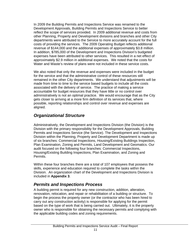In 2009 the Building Permits and Inspections Service was renamed to the Development Approvals, Building Permits and Inspections Service to better reflect the scope of services provided. In 2009 additional revenue and costs from other Planning, Property and Development divisions and branches and other City departments were attributed to the Service to more accurately account for the full costs of providing the services. The 2009 Operating Budget reflects additional revenue of \$144,000 and the additional expenses of approximately \$3.8 million. In addition, \$785,000 of the Development and Inspections Division's budgeted expenses have been attributed to other services. This resulted in a net effect of approximately \$2.9 million in additional expenses. We noted that the costs for Water and Waste's review of plans were not included in these service costs.

We also noted that only the revenue and expenses were included in the budget for the service and that the administrative control of these resources still remained in the other City departments. We understand that adjustments will be made from time to time to the service based budgets to include all the costs associated with the delivery of service. The practice of making a service accountable for budget resources that they have little or no control over administratively is not an optimal practice. We would encourage that as the City gets closer to arriving at a more firm definition of its services that, where possible, reporting relationships and control over revenue and expenses are aligned.

## *Organizational Structure*

Administratively, the Development and Inspections Division (the Division) is the Division with the primary responsibility for the Development Approvals, Building Permits and Inspections Service (the Service). The Development and Inspections Division within the Planning, Property and Development Department is made up of six branches: Commercial Inspections, Housing/Existing Buildings Inspection, Plan Examination, Zoning and Permits, Land Development and Geomatics. Our audit focused on the following four branches: Commercial Inspections, Housing/Existing Building Inspections, Plan Examination, and Zoning and Permits.

Within these four branches there are a total of 107 employees that possess the skills, experience and education required to complete the tasks within the Division. An organization chart of the Development and Inspections Division is included in **Appendix 3**.

## *Permits and Inspections Process*

A building permit is required for any new construction, addition, alteration, renovation, relocation, and repair or rehabilitation of a building or structure. To begin the process the property owner (or the contractor who has been hired to carry out any construction activity) is responsible for applying for the permit based on the type of work that is being carried out. Ultimately, it is the property owner who is responsible for obtaining the necessary permits and complying with the applicable building codes and zoning requirements.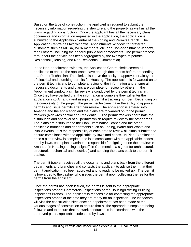Based on the type of construction, the applicant is required to submit the necessary information regarding the structure and the property as well as all the plans regarding construction. Once the applicant has all the necessary plans, documents and information requested in the application, the application is submitted to the Application Centre of the Zoning and Permits Branch. The Application Centre has two windows, Appointments Window, for preferred customers such as MHBA, WCA members, etc. and Non-appointment Window, for all others, including the general public and homeowners. The permit process throughout the service has been segregated by the two types of permits: Residential (Housing) and Non-Residential (Commercial).

In the Non-appointment window, the Application Centre clerks screen all applicants to ensure the applicants have enough documents before proceeding to a Permit Technician. The clerks also have the ability to approve certain types of electrical and plumbing permits for Housing. The application is forwarded on to the permit technicians to complete a review of the information and ensure all necessary documents and plans are complete for review by others. In the Appointment window a similar review is conducted by the permit technician. Once they have verified that the information is complete they will enter the application into Amanda and assign the permit a tracking number. Depending on the complexity of the project, the permit technicians have the ability to approve permits and issue permits after their review. The application is entered into Amanda and the application and the plans are forwarded on to the permit trackers (Non –residential and Residential). The permit trackers coordinate the distribution and approval of all permits which require review by the other areas. The plans are distributed to the Plan Examination Branch and the other applicable branches and departments such as Zoning, Water and Waste and Public Works. It is the responsibility of each area to review all plans submitted to ensure compliance with the applicable by-laws and codes. In Plan Examination, once a plan review is complete and is in compliance with the applicable codes and by-laws, each plan examiner is responsible for signing off on their review in Amanda (in Housing, a single signoff; in Commercial, a signoff for architectural, structural, mechanical and electrical) and sending the plans back to the permit tracker.

The permit tracker receives all the documents and plans back from the different departments and branches and contacts the applicant to advise them that their permit application has been approved and is ready to be picked up. The permit is forwarded to the cashier who issues the permit upon collecting the fee for the permit from the applicant.

Once the permit has been issued, the permit is sent to the appropriate inspections branch: Commercial Inspections or the Housing/Existing Building Inspections Branch. The applicant is responsible for contacting the appropriate inspections branch at the time they are ready for an inspection. The inspectors will visit the construction sites once an appointment has been made at the various stages of construction to ensure that all the appropriate steps are being followed and to ensure that the work conducted is in accordance with the approved plans, applicable codes and by-laws .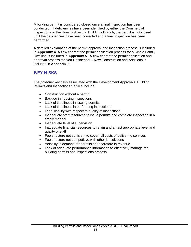A building permit is considered closed once a final inspection has been conducted. If deficiencies have been identified by either the Commercial Inspections or the Housing/Existing Buildings Branch, the permit is not closed until the deficiencies have been corrected and a final inspection has been performed.

A detailed explanation of the permit approval and inspection process is included in **Appendix 4**. A flow chart of the permit application process for a Single Family Dwelling is included in **Appendix 5**. A flow chart of the permit application and approval process for Non-Residential – New Construction and Additions is included in **Appendix 6**.

# **KEY RISKS**

The *potential* key risks associated with the Development Approvals, Building Permits and Inspections Service include:

- Construction without a permit
- Backlog in housing inspections
- Lack of timeliness in issuing permits
- Lack of timeliness in performing inspections
- Legal liability with respect to quality of inspections
- Inadequate staff resources to issue permits and complete inspection in a timely manner
- Inadequate level of supervision
- Inadequate financial resources to retain and attract appropriate level and quality of staff
- Fee structure not sufficient to cover full costs of delivering services
- Fee structure not competitive with other jurisdictions
- Volatility in demand for permits and therefore in revenue
- Lack of adequate performance information to effectively manage the building permits and inspections process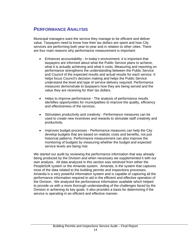# **PERFORMANCE ANALYSIS**

Municipal managers want the service they manage to be efficient and deliver value. Taxpayers need to know how their tax dollars are spent and how City services are performing both year-to-year and in relation to other cities. There are four main reasons why performance measurement is important:

- Enhances accountability In today's environment, it is important that taxpayers are informed about what the Public Service plans to achieve, what it is actually achieving and what it costs. Measuring and reporting on performance strengthens the understanding between the Public Service and Council of the expected results and actual results for each service. It helps focus Council's decision making and helps the Public Service understand the level and type of service delivery required. Performance measures demonstrate to taxpayers how they are being served and the value they are receiving for their tax dollars.
- Helps to improve performance The analysis of performance results identifies opportunities for municipalities to improve the quality, efficiency and effectiveness of the services.
- Stimulates productivity and creativity Performance measures can be used to create new incentives and rewards to stimulate staff creativity and productivity.
- Improves budget processes Performance measures can help the City develop budgets that are based on realistic costs and benefits, not just historical patterns. Performance measurement can also improve the monitoring of budgets by measuring whether the budget and expected service levels are being met.

We started our audit by reviewing the performance information that was already being produced by the Division and when necessary we supplemented it with our own analysis. All data analyzed in this section was retrieved from either the PeopleSoft system or the Amanda system. Amanda, is the system that captures most of the data related to the building permits and inspections processes. Amanda is a very powerful information system and is capable of capturing all the performance information required to aid in the efficient and effective operation of the Division. We analyzed the performance information available which helped to provide us with a more thorough understanding of the challenges faced by the Division in achieving its key goals. It also provides a basis for determining if the service is operating in an efficient and effective manner.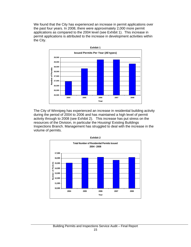We found that the City has experienced an increase in permit applications over the past four years. In 2008, there were approximately 2,000 more permit applications as compared to the 2004 level (see Exhibit 1). This increase in permit applications is attributed to the increase in development activities within the City.



The City of Winnipeg has experienced an increase in residential building activity during the period of 2004 to 2006 and has maintained a high level of permit activity through to 2008 (see Exhibit 2). This increase has put stress on the resources of the Division, in particular the Housing/ Existing Buildings Inspections Branch. Management has struggled to deal with the increase in the volume of permits.

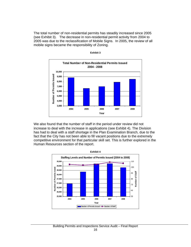The total number of non-residential permits has steadily increased since 2005 (see Exhibit 3). The decrease in non-residential permit activity from 2004 to 2005 was due to the reclassification of Mobile Signs. In 2005, the review of all mobile signs became the responsibility of Zoning.



**Exhibit 3** 

We also found that the number of staff in the period under review did not increase to deal with the increase in applications (see Exhibit 4). The Division has had to deal with a staff shortage in the Plan Examination Branch, due to the fact that the City has not been able to fill vacant positions due to the extremely competitive environment for that particular skill set. This is further explored in the Human Resources section of the report.

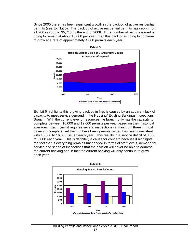Since 2005 there has been significant growth in the backlog of active residential permits (see Exhibit 5). The backlog of active residential permits has grown from 21,706 in 2005 to 35,718 by the end of 2008. If the number of permits issued is going to remain at about 16,000 per year, then this backlog is going to continue to grow at a rate of approximately 4,000 permits each year.



Exhibit 6 highlights this growing backlog in files is caused by an apparent lack of capacity to meet service demand in the Housing/ Existing Buildings Inspections Branch. With the current level of resources the branch only has the capacity to complete between 10,000 and 12,000 permits per year based on their historical averages. Each permit requires several inspections (at minimum three in most cases) to complete, yet the number of new permits issued has been consistent with 15,000 to 16,000 issued each year. This results in a service deficit of 3,000 to 5,000 each year. This is definitely a cause for concern because it highlights the fact that, if everything remains unchanged in terms of staff levels, demand for service and scope of inspections that the division will never be able to address the current backlog and in fact the current backlog will only continue to grow each year.

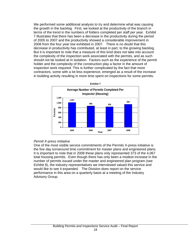We performed some additional analysis to try and determine what was causing the growth in the backlog. First, we looked at the productivity of the branch in terms of the trend in the numbers of folders completed per staff per year. Exhibit 7 illustrates that there has been a decrease in the productivity during the period of 2005 to 2007 and the productivity showed a considerable improvement in 2008 from the four year low exhibited in 2007. There is no doubt that this decrease in productivity has contributed, at least in part, to the growing backlog. But it is important to note that a measure of this kind does not take into account the complexity of the inspection work associated with the permits, and as such should not be looked at in isolation. Factors such as the experience of the permit holder and the complexity of the construction play a factor in the amount of inspection work required. This is further complicated by the fact that more contractors, some with a lot less experience, emerged as a result of the increase in building activity resulting in more time spent on inspections for some permits.



#### *Permit X-press Initiative*

One of the most visible service commitments of the Permits X-press initiative is the five day turnaround time commitment for master plans and engineered plans. It is important to note that in 2008 these plans only represented 373 of the 4,067 total housing permits. Even though there has only been a modest increase in the number of permits issued under the master and engineered plan program (see Exhibit 8), the industry representatives we interviewed valued this service and would like to see it expanded. The Division does report on the service performance in this area on a quarterly basis at a meeting of the Industry Advisory Group.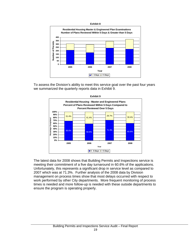

To assess the Division's ability to meet this service goal over the past four years we summarized the quarterly reports data in Exhibit 9.



The latest data for 2008 shows that Building Permits and Inspections service is meeting their commitment of a five day turnaround in 60.6% of the applications. Unfortunately, this represents a significant drop in service level as compared to 2007 which was at 71.3%. Further analysis of the 2008 data by Division management on process times show that most delays occurred with respect to work performed by other City departments. More frequent monitoring of process times is needed and more follow-up is needed with these outside departments to ensure the program is operating properly.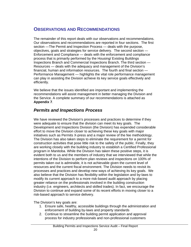# **OBSERVATIONS AND RECOMMENDATIONS**

The remainder of this report deals with our observations and recommendations. Our observations and recommendations are reported in four sections. The first section —The Permit and Inspection Process — deals with the purpose, objectives, goals and strategies for service delivery. The second section — Enforcement and Compliance — deals with the enforcement and compliance process that is primarily performed by the Housing/ Existing Buildings Inspections Branch and Commercial Inspections Branch. The third section — Resources — deals with the adequacy and management of the Division's financial, human and information resources. The fourth and final section — Performance Management — highlights the vital role performance management can play in assisting the Division achieve its key service goals effectively and efficiently.

We believe that the issues identified are important and implementing the recommendations will assist management in better managing the Division and the Service. A complete summary of our recommendations is attached as **Appendix 7**.

## *Permits and Inspections Process*

We have reviewed the Division's processes and practices to determine if they were adequate to ensure that the division can meet its key goals. The Development and Inspections Division (the Division) has expended considerable effort to move the Division closer to achieving these key goals with major initiatives such as Permits X-press and a major review of the fee methodology. The Division has also taken steps to eliminate the requirement for a permit for construction activities that pose little risk to the safety of the public. Finally, they are working closely with the building industry to establish a Certified Professional program in Manitoba. While the Division has taken these positive steps, it is evident both to us and the members of industry that we interviewed that while the intentions of the Division to perform plan reviews and inspections on 100% of permits taken out is admirable, it is not achievable given the current level of resources and the current fiscal environment. The Division needs to revisit its processes and practices and develop new ways of achieving its key goals. We also believe that the Division has flexibility within the legislation and by-laws to modify its current approach to a more risk-based audit approach by placing greater reliance on the professionals involved in the building construction industry (i.e. engineers, architects and skilled trades). In fact, we encourage the Division to continue and expand some of its recent efforts in moving closer to a risk-based approach to service delivery.

The Division's key goals are:

- 1. Ensure safe, healthy, accessible buildings through the administration and enforcement of building by-laws and property standards
- 2. Continue to streamline the building permit application and approval process for industry professionals and non-professional customers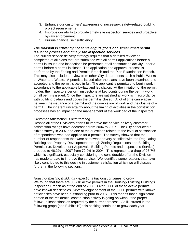- 3. Enhance our customers' awareness of necessary, safety-related building project requirements
- 4. Improve our ability to provide timely site inspection services and proactive by-law enforcement
- 5. Pursue financial self sufficiency

### *The Division is currently not achieving its goals of a streamlined permit issuance process and timely site inspection services*

The current service delivery strategy requires that a detailed review be completed of all plans that are submitted with all permit applications before a permit is issued and inspections be performed of all construction activity under a permit before a permit is closed. The application and approval process is performed by the Zoning and Permits Branch and the Plan Examination Branch. This may also include a review from other City departments such a Public Works or Water and Waste. A permit is issued after the plans have been examined and accepted and the permit is paid in full. The applicant is permitted to begin work in accordance to the applicable by-law and legislation. At the initiation of the permit holder, the inspectors perform inspections at key points during the permit work on all permits issued. Once the inspectors are satisfied all work is in accordance with building by-laws and codes the permit is closed. A lot of time can elapse between the issuance of a permit and the completion of work and the closure of a permit. The inherent uncertainty about the timing of activities in the construction processes has an impact on the management of the workload of the inspectors.

### *Customer satisfaction is deteriorating*

Despite all of the Division's efforts to improve the service delivery customer satisfaction ratings have decreased from 2004 to 2007. The City conducted a citizen survey in 2007 and one of the questions related to the level of satisfaction of respondents who had applied for a permit. The survey showed that the number of respondents that were somewhat or very satisfied with the Regulating Building and Property Development through Zoning Regulations and Building Permits (i.e. Development Approvals, Building Permits and Inspections Service) dropped to 46.2% in 2007 from 72.9% in 2004. This represents a drop of 26.7% which is significant, especially considering the considerable effort the Division has made to date to improve the service. We identified some reasons that have likely contributed to this decline in customer satisfaction which we will discuss further in the following sections.

### *Housing/ Existing Buildings inspections backlog continues to grow*

We found that there are 35,718 active permits in the Housing/ Existing Buildings Inspection Branch as at the end of 2008. Over 6,000 of these active permits have known deficiencies. Seventy-eight percent of the 6,000 permits with known deficiencies have been outstanding prior to 2007. This means that a significant portion of the residential construction activity is going on without the proper follow-up inspections as required by the current process. As illustrated in the following graph (see Exhibit 10) this backlog continues to grow each year.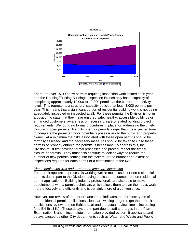

There are over 15,000 new permits requiring inspection work issued each year and the Housing/Existing Buildings Inspection Branch only has a capacity of completing approximately 10,000 to 12,000 permits at the current productivity level. This represents a structural capacity deficit of at least 3,000 permits per year. This means that a significant portion of residential building work is not being adequately inspected or inspected at all. For these permits the Division is not in a position to state that they have ensured safe, healthy, accessible buildings or enhanced customers' awareness of necessary, safety-related building project requirements. We found no formal procedures in place for addressing the timely closure of open permits. Permits open for periods longer than the expected time to complete the permitted work potentially poses a risk to the public and property owner. At a minimum the risks associated with these open permits should be formally assessed and the necessary measures should be taken to close these permits or properly enforce the permits, if necessary. To address this, the Division must first develop formal processes and procedures for the timely closure of permits. They must also continue to look at ways to reduce the number of new permits coming into the system, or the number and extent of inspections required for each permit or a combination of the two.

### *Plan examination wait and turnaround times are increasing*

The permit application process is working well in most cases for non-residential permits due in part to the Division having dedicated resources for non-residential permit applications. Building industry professionals are also able to make appointments with a permit technician, which allows them to plan their days work more effectively and efficiently and is certainly more of a convenience.

However, our review of the performance data indicates that for most types of non-residential permit applications clients are waiting longer to get their permit applications reviewed (see Exhibit 11a) and the actual review time is increasing (see Exhibit 11b). These delays are in part due to staff shortages in the Plan Examination Branch, incomplete information provided by permit applicants and delays caused by other City departments such as Water and Waste and Public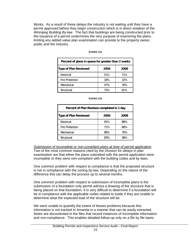Works. As a result of these delays the industry is not waiting until they have a permit approved before they begin construction which is in direct violation of the *Winnipeg Building By-law*. The fact that buildings are being constructed prior to the issuance of a permit undermines the very purpose of examining the plans, limiting any added value plan examination can provide to the property owner, public and the industry.

| Percent of plans in queue for greater than 2 weeks |      |      |  |
|----------------------------------------------------|------|------|--|
| <b>Type of Plan Reviewed</b>                       | 2004 | 2008 |  |
| Electrical                                         | 51%  | 71%  |  |
| <b>Fire Protection</b>                             | 18%  | 32%  |  |
| Mechanical                                         | 47%  | 76%  |  |
| Structural                                         | 75%  | 61%  |  |

#### **Exhibit 11a**

| Percent of Plan Reviews completed in 1 day |      |      |  |
|--------------------------------------------|------|------|--|
| <b>Type of Plan Reviewed</b>               | 2004 | 2008 |  |
| Electrical                                 | 91%  | 86%  |  |
| <b>Fire Protection</b>                     | 71%  | 68%  |  |
| Mechanical                                 | 89%  | 70%  |  |
| Structural                                 | 83%  | 58%  |  |

*Submission of incomplete or non-compliant plans at time of permit application* Two of the most common reasons cited by the Division for delays in plan examination are that either the plans submitted with the permit application were incomplete or they were non-compliant with the building codes and by-laws.

One common problem with respect to compliance is that the proposed structure is not in compliance with the zoning by-law. Depending on the nature of the difference this can delay the process up to several months.

One common problem with respect to submission of incomplete plans is the submission of a foundation only permit without a drawing of the structure that is being placed on that foundation. It is very difficult to determine if a foundation will be in compliance with the applicable codes related to loads if they are unable to determine what the expected load of the structure will be.

We were unable to quantify the extent of theses problems because this information is not tracked in Amanda in a manner that can be easily extracted. Notes are documented in the files that record instances of incomplete information and non-compliance. This enables detailed follow-up only on a file by file basis.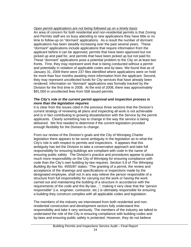### *Open permit applications are not being followed up on a timely basis*

An area of concern for both residential and non-residential permits is that Zoning and Permits staff are so busy attending to new applications they have little or no time to follow-up on "dormant' applications. As a result the number of dormant applications has been steadily increasing over the past several years. These "dormant" applications include applications that require information from the applicant before it can be approved, permits that have been approved but not picked up and paid for, and permits that have been picked up but not paid for. These "dormant" applications pose a potential problem to the City on at least two fronts. First, they may represent work that is being conducted without a permit and potentially in violation of applicable codes and by-laws. We found that as of January 31, 2009 there were 237 files identified where applications were on hold for more than four months awaiting more information from the applicant. Second, they may represent uncollected funds for City services that have already been rendered. Information on "dormant" applications was formally tracked by the Division for the first time in 2008. At the end of 2008, there was approximately \$91,000 in uncollected fees from 558 issued permits.

### *The City's role in the current permit approval and inspection process is more than the legislation requires*

It is clear from the issues cited in the previous three sections that the Division's current strategy of reviewing all plans and inspecting all work is not achievable and is in fact contributing to growing dissatisfaction with the Service by the permit applicants. Clearly something has to change in the way the service is being delivered. We first needed to determine if the current legislation provided enough flexibility for the Division to change.

From our review of the Division's goals and the City of Winnipeg Charter legislation there appears to be some ambiguity in the legislation as to what the City's role is with respect to permits and inspections. It appears that this ambiguity has led the Division to take a conservative approach and take full responsibility for ensuring buildings are compliant with code in the name of ensuring public safety. The Division's practice and procedures appear to place much more responsibility on the City of Winnipeg for ensuring compliance with code than the City's own building by-law requires. Section 5.8 of *The Winnipeg Building By-law* No. 4555/87 states: "The granting of a permit, the review and acceptance of the drawings and specifications or inspections made by the designated employee, shall not in any way relieve the person responsible of a structure from full responsibility for carrying out the work or having the work carried out and maintaining the building of a structure in accordance with the requirements of the code and this By-law…", making it very clear that the "person responsible" (i.e. engineer, contractor, etc.) is ultimately responsible for ensuring a building they construct complies with all applicable codes and legislation.

The members of the industry we interviewed from both residential and nonresidential construction and development sectors fully understand this responsibility and take it very seriously. The members of the industry we talked to understand the role of the City in ensuring compliance with building codes and by-laws and ensuring public safety is protected. However, they do not believe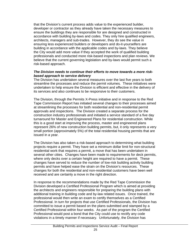that the Division's current process adds value to the experienced builder, developer or contractor as they already have taken the necessary measures to ensure the buildings they are responsible for are designed and constructed in accordance with building by-laws and codes. They only hire qualified engineers, architects, managers and sub-trades. However, they do see the value in ensuring less experienced builders or developers and do-it-yourselfers are building in accordance with the applicable codes and by-laws. They believe the City would add more value if they accepted the work of qualified building professionals and conducted more risk-based inspections and plan reviews. We believe that the current governing legislation and by-laws would permit such a risk-based approach.

#### *The Division needs to continue their efforts to move towards a more riskbased approach to service delivery*

The Division has undertaken several measures over the last five years to both streamline the processes and reduce the permit volumes. These initiatives were undertaken to help ensure the Division is efficient and effective in the delivery of its services and also continues to be responsive to their customers.

The Division, through the Permits X-Press initiative and in response to the Red Tape Commission Report has initiated several changes to their processes aimed at streamlining the processes for both residential and non-residential permit approvals and inspections. The Division created a separate process for the construction industry professionals and initiated a service standard of a five day turnaround for Master and Engineered Plans for residential construction. While this is a good start at improving the process, master and engineered plans represent 26% of new construction building permits, but, it only represents a very small portion (approximately 5%) of the total residential housing permits that are issued in a year.

The Division has also taken a risk-based approach to determining what building projects require a permit. They have set a minimum dollar limit for non-structural residential work that requires a permit, a move that has been undertaken in several other cities. Changes have been made to requirements for deck permits, where only decks over a certain height are required to have a permit. These changes have served to reduce the number of low-risk building activity building permits and have helped ease the strain on the Division's resources. These changes for both the residential and non-residential customers have been well received and are certainly a move in the right direction.

In response to the recommendations made by the Red Tape Commission the Division developed a Certified Professional Program which is aimed at providing the architects and engineers responsible for preparing the building plans with additional training in building code and by-law related issues. Once trained, the professional would then write an exam to certify themselves as a Certified Professional. In turn for projects that use Certified Professionals, the Division has committed to issue a permit based on the plans submitted and stamped by a Certified Professional within four weeks. As part of the program the Certified Professional would post a bond that the City could use to rectify any code violations in a timely manner if necessary. Unfortunately, the Division has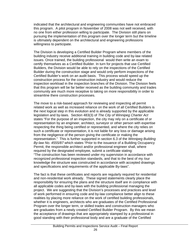indicated that the architectural and engineering communities have not embraced this program. A pilot program in November of 2008 was not well received, with no one from either profession willing to participate. The Division still plans on pursuing the implementation of this program over the longer term but the timeline is ultimately dependent on the architectural and engineering professions willingness to participate.

The Division is developing a Certified Builder Program where members of the building industry receive additional training in building code and by-law related issues. Once trained, the building professional would then write an exam to certify themselves as a Certified Builder. In turn for projects that use Certified Builders, the Division would be able to rely on the inspections of the Certified Builder during the construction stage and would only perform inspections of the Certified Builder's work on an audit basis. This process would speed up the construction process for the construction industry and would reduce the inspection workload in the inspection branches of the Division. The Division feels that this program will be far better received as the building community and trades community are much more receptive to taking on more responsibility in order to streamline there construction processes.

The move to a risk-based approach for reviewing and inspecting all permit related work as well as increased reliance on the work of all Certified Builders is the next logical step in this evolution and is already supported by the applicable legislation and by-laws. Section 483(3) of *The City of Winnipeg Charter Act*  states "For the purpose of an inspection, the city may rely on a certificate of or representation by an engineer, architect, surveyor or other person with expertise respecting the thing being certified or represented, and where the city relies on such a certificate or representation, it is not liable for any loss or damage arising from the negligence of the person giving the certificate or making the representation." This is further supported in section 6.3 of the *Winnipeg Building By-law No. 4555/87* which states "Prior to the issuance of a Building Occupancy Permit, the responsible architect and/or professional engineer shall, where required by the designated employee, submit a certificate stating: "The construction has been reviewed under my supervision in accordance with recognized professional inspection standards, and that to the best of my /our knowledge the structure was constructed in accordance with accepted drawings and specifications and requirements of the applicable By-laws".

The fact is that these certificates and reports are regularly required for residential and non-residential work already. These signed statements clearly place the responsibility for ensuring the plans and the structure itself are in compliance with all applicable codes and by-laws with the building professional managing the project. We are suggesting that the Division's processes and practices and level of work performed in ensuring code and by-law compliance better align to these realities by placing more reliance on the work of certified building professionals, whether it is engineers, architects who are graduates of the Certified Professional Program over the longer term, or skilled trades and construction managers who are graduates from a newly created Certified Builder Program. By this we mean the acceptance of drawings that are appropriately stamped by a professional in good standing with their professional body and are a graduate of the Certified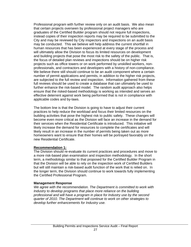Professional program with further review only on an audit basis. We also mean that certain projects overseen by professional project managers who are graduates of the Certified Builder program should not require full inspections, instead copies of their inspection reports may be required to be submitted to the City and may be reviewed by City inspectors and inspections on an audit basis may be conducted. This we believe will help address the current shortfall in human resources that has been experienced at every stage of the process and will ultimately allow the Division to focus its limited resources on development and building projects that pose the most risk to the safety of the public. That is, the focus of detailed plan reviews and inspections should be on higher risk projects such as office towers or on work performed by unskilled workers, nonprofessionals, and contractors and developers with a history of non-compliance. We believe there still should continue to be an audit component where a certain number of permit applications and permits, in addition to the higher risk projects, are subjected to the full review and inspection. Information gathered from these full reviews should be used to create a database that can ultimately be used to further enhance the risk-based model. The random audit approach also helps ensure that the risked-based methodology is working as intended and serves an effective deterrent against work being performed that is not in compliance with applicable codes and by-laws.

The bottom line is that the Division is going to have to adjust their current practices to help reduce the workload and focus their limited resources on the building activities that pose the highest risk to public safety. These changes will become even more critical as the Division will face an increase in the demand for their services when the Residential Certificate is introduced. This initiative will likely increase the demand for resources to complete the certificates and will likely result in an increase in the number of permits being taken out as more homeowners want to ensure that their homes will be portrayed favorably on the new Residential Certificate.

#### **Recommendation 1:**

The Division should re-evaluate its current practices and procedures and move to a more risk-based plan examination and inspection methodology. In the short term, a methodology similar to that proposed for the Certified Builder Program in that the Division will be able to rely on the inspection work of Certified Builders but will still maintain a risk-based audit function of the work that is relied on. In the longer term, the Division should continue to work towards fully implementing the Certified Professional Program.

#### **Management Response**

*We agree with the recommendation. The Department is committed to work with Industry to develop programs that place more reliance on the building professional and will have a program in place for Industry use by the second quarter of 2010. The Department will continue to work on other strategies to develop further enhancements for Industry use.*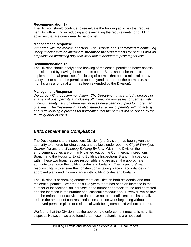### **Recommendation 1a:**

The Division should continue to reevaluate the building activities that require permits with a mind in reducing and eliminating the requirements for building activities that are considered to be low risk.

### **Management Response**

*We agree with the recommendation. The Department is committed to continuing yearly reviews with an attempt to streamline the requirements for permits with an emphasis on permitting only that work that is deemed to pose higher risk.* 

### **Recommendation 1b:**

The Division should analyze the backlog of residential permits to better assess the risk posed by leaving these permits open. Steps should be taken to implement formal processes for closing of permits that pose a minimal or low safety risk or where the permit is open beyond the term of the permit (i.e. six months unless original term has been extended by the Division).

### **Management Response**

*We agree with the recommendation. The Department has started a process of analysis of open permits and closing off inspection processes for permits with minimum safety risks or where new houses have been occupied for more than one year. The Department has also started a review of permits with no activity and is developing a process for notification that the permits will be closed by the fourth quarter of 2010.* 

## *Enforcement and Compliance*

The Development and Inspections Division (the Division) has been given the authority to enforce building codes and by-laws under both the *City of Winnipeg Charter Act* and the *Winnipeg Building By-law*. Within the Division the enforcement duties are primarily carried out by the Commercial Inspections Branch and the Housing/ Existing Buildings Inspections Branch. Inspectors within these two branches are responsible and are given the appropriate authority to enforce the building codes and by-laws. The inspectors' main responsibility is to ensure the construction is taking place in accordance with approved plans and in compliance with building codes and by-laws.

The Division is performing enforcement activities on both residential and nonresidential permits. Over the past five years there has been an increase in the number of inspections, an increase in the number of defects found and corrected and the increase in the number of successful prosecutions. However, we believe that the enforcement activities to date have not been sufficient to substantially reduce the amount of non-residential construction work beginning without an approved permit in place or residential work being completed without a permit.

We found that the Division has the appropriate enforcement mechanisms at its disposal. However, we also found that these mechanisms are not used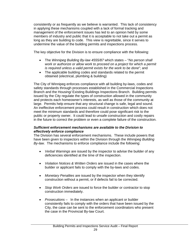consistently or as frequently as we believe is warranted. This lack of consistency in applying these mechanisms coupled with a lack of formal tracking and management of the enforcement issues has led to an opinion held by some members of industry and public that it is acceptable to not take out a permit as long as they are building to code. This view is regrettable, since it serves to undermine the value of the building permits and inspections process.

The key objective for the Division is to ensure compliance with the following:

- The *Winnipeg Building By-law 4555/87* which states "*No person shall work or authorize or allow work to proceed on a project for which a permit is required unless a valid permit exists for the work to be done*"; and
- The applicable building codes and standards related to the permit obtained (electrical, plumbing & building)

The City of Winnipeg enforces compliance with all building by-laws, codes and safety standards through processes established in the Commercial Inspections Branch and the Housing/ Existing Buildings Inspections Branch. Building permits issued by the City regulate the types of construction allowed in the community and protects each homeowner's interests, as well as those of the community at large. Permits help ensure that any structural change is safe, legal and sound. An ineffective enforcement process could result in construction which does not meet the minimum standards and therefore could pose significant risk to the public or property owner. It could lead to unsafe construction and costly repairs in the future to correct the problem or even a complete failure of the construction.

### *Sufficient enforcement mechanisms are available to the Division to effectively enforce compliance*

The Division has several enforcement mechanisms. These include powers that have been given to inspectors within the Division through the *Winnipeg Building By-law.* The mechanisms to enforce compliance include the following:

- *Verbal Warnings* are issued by the inspector to advise the builder of any deficiencies identified at the time of the inspection.
- *Violation Notices & Written Orders* are issued in the cases where the builder or applicant fails to comply with the by-laws and codes.
- *Monetary Penalties* are issued by the inspector when they identify construction without a permit, or if defects fail to be corrected.
- *Stop Work Orders* are issued to force the builder or contractor to stop construction immediately.
- *Prosecutions* In the instances when an applicant or builder consistently fails to comply with the orders that have been issued by the City, the case can be sent to the enforcement coordinators who present the case in the Provincial By-law Court.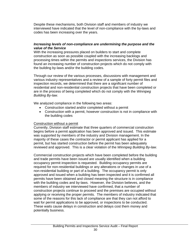Despite these mechanisms, both Division staff and members of industry we interviewed have indicated that the level of non-compliance with the by-laws and codes has been increasing over the years.

#### *Increasing levels of non-compliance are undermining the purpose and the value of the Service*

With the increasing pressures placed on builders to start and complete construction as soon as possible coupled with the increasing backlogs and processing times within the permits and inspections services, the Division has found an increasing number of construction projects which do not comply with the building by-laws and/or the building codes.

Through our review of the various processes, discussions with management and various industry representatives and a review of a sample of forty permit files and inspection records, we determined that there are a significant number of residential and non-residential construction projects that have been completed or are in the process of being completed which do not comply with the *Winnipeg Building By-law*.

We analyzed compliance in the following two areas:

- Construction started and/or completed without a permit
- Construction with a permit, however construction is not in compliance with the building codes

#### Construction without a permit

Currently, Division staff estimate that three quarters of commercial construction begins before a permit application has been approved and issued. This estimate was supported by members of the industry and Division management. In the majority of these cases the contractor or permit applicant has applied for a permit, but has started construction before the permit has been adequately reviewed and approved. This is a clear violation of the *Winnipeg Building By-law*.

Commercial construction projects which have been completed before the building and trade permits have been issued are usually identified when a building occupancy permit inspection is requested. Building occupancy permits are required for non-residential buildings or any alterations or changes in use of a non-residential building or part of a building. The occupancy permit is only approved and issued when a building has been inspected and it is confirmed all permits have been obtained and closed meaning the structure is in compliance with the building codes and by-laws. However, the Division believes, and the members of industry we interviewed have confirmed, that a number of construction projects continue to proceed and the premises are occupied without applying or receiving the proper permits. The members of industry indicated that some of the reasons for this lack of compliance are that they can not afford to wait for permit applications to be approved, or inspections to be conducted. These waits cause delays in construction and delays cost them money and potentially business.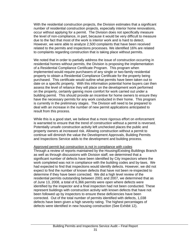With the residential construction projects, the Division estimates that a significant number of residential construction projects, especially interior home renovations, occur without applying for a permit. The Division does not specifically measure the level of non-compliance, in part, because it would be very difficult to measure due to the fact that most of the work is interior work and is hard to detect. However, we were able to analyze 2,500 complaints that have been received related to the permits and inspections processes. We identified 16% are related to complaints regarding construction that is taking place without permits.

We noted that in order to partially address the issue of construction occurring in residential homes without permits, the Division is proposing the implementation of a Residential Compliance Certificate Program. This program when implemented would require purchasers of any single or two-family residential property to obtain a Residential Compliance Certificate for the property being purchased. This certificate would outline what permits have been taken out to date on a specific property. With this information potential home buyers can then assess the level of reliance they will place on the development work performed on the property, certainly gaining more comfort for work carried out under a building permit. This should provide an incentive for home owners to ensure they have the necessary permits for any work conducted in their home. This program is currently in the preliminary stages. The Division will need to be prepared to deal with an increase in the number of new permit applications anticipated to result from this process.

While this is a good start, we believe that a more rigorous effort on enforcement is warranted to ensure that the trend of construction without a permit is reversed. Potentially unsafe construction activity left unchecked places the public and property owners at increased risk. Allowing construction without a permit to continue will diminish the value the Development Approvals, Building Permits and Inspections Service adds to the development and building process.

#### Approved permit but construction is not in compliance with codes

Through a review of reports maintained by the Housing/Existing Buildings Branch as well as through discussions with Division staff, we determined that a significant number of defects have been identified by City inspectors where the work completed was not in compliance with the building codes and by-laws. We had expected to find that inspections would identify defects. However, we did not expect to find the number of known defects that have not been re-inspected to determine if they have been corrected. We did a high level review of the residential permits outstanding between 2001 and 2007, we determined that as of June 13, 2008, a total of 6,366 permits were open where defects were identified by the inspector and a final inspection had not been conducted. These represent buildings with construction activity with known defects that have not been followed up by inspectors to ensure these deficiencies have been corrected. Out of the total number of permits identified with defects, 1,038 defects have been given a high severity rating. The highest percentages of defects were identified in new housing construction (See Exhibit 12).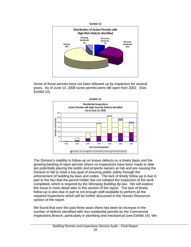

Some of these permits have not been followed up by inspectors for several years. As of June 13, 2008 some permits were still open from 2002. (See Exhibit 13).



The Division's inability to follow-up on known defects on a timely basis and the growing backlog of open permits where no inspections have been made to date are potentially placing the public and property owners at risk and are causing the Division to fail to meet a key goal of ensuring public safety through the enforcement of building by-laws and codes. The lack of timely follow-up is due in part to the fact that the permit holder has not initiated the inspection of the work completed, which is required by the *Winnipeg Building By-law*. We will explore this issue in more detail later in this section of the report. The lack of timely follow-up is also due in part to not enough staff available to perform all the required inspections which will be further discussed in the *Human Resources* section of the report.

We found that over the past three years there has been an increase in the number of defects identified with non-residential permits by the Commercial Inspections Branch, particularly in plumbing and mechanical (see Exhibit 14). We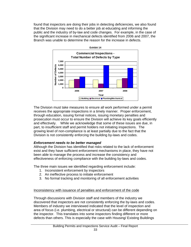found that inspectors are doing their jobs in detecting deficiencies, we also found that the Division may need to do a better job at educating and informing the public and the industry of by-law and code changes. For example, in the case of the significant increase in mechanical defects identified from 2006 and 2007, the Branch was unable to determine the reason for the increase in defects.



The Division must take measures to ensure all work performed under a permit receives the appropriate inspections in a timely manner. Proper enforcement, through education, issuing formal notices, issuing monetary penalties and prosecution must occur to ensure the Division will achieve its key goals efficiently and effectively. While we acknowledge that some of these issues are due, in part, to insufficient staff and permit holders not initiating inspections. The growing level of non-compliance is at least partially due to the fact that the Division is not consistently enforcing the building by-laws and codes.

### *Enforcement needs to be better managed*

Although the Division has identified that risks related to the lack of enforcement exist and they have sufficient enforcement mechanisms in place, they have not been able to manage the process and increase the consistency and effectiveness of enforcing compliance with the building by-laws and codes.

The three main issues we identified regarding enforcement include:

- 1. Inconsistent enforcement by inspectors
- 2. An ineffective process to initiate enforcement
- 3. No formal tracking and monitoring of all enforcement activities

### Inconsistency with issuance of penalties and enforcement of the code

Through discussions with Division staff and members of the industry we discovered that inspectors are not consistently enforcing the by-laws and codes. Members of industry we interviewed indicated that the level of inspection and area of focus (i.e. plumbing, electrical or structural) can be different depending on the inspector. This translates into some inspectors finding different or more defects than others. This is especially the case with Housing/ Existing Buildings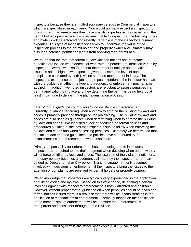inspectors because they are multi-disciplinary versus the Commercial inspectors which are specialized in each area. You would normally expect an inspector to focus more on an area where they have specific expertise in. However, from the permit holder's perspective, it is also reasonable to expect that the building codes and by-laws will be enforced consistently, regardless of the inspector's primary expertise. This type of inconsistency serves to undermine the value of the inspection process to the permit holder and property owner and ultimately may dissuade potential permit applicants from applying for a permit at all.

We found that the rate that formal by-law violation notices and monetary penalties are issued when defects or work without permits are identified varies by inspector. Overall, we also found that the number of notices and penalties issued is not as high as we expected given the estimated level of noncompliance estimated by both Division staff and members of industry. The inspector's experience on the job and the past experience the inspector has had with the builder can affect the type and frequency of enforcement mechanisms applied. In addition, we noted inspectors are reluctant to assess penalties if a permit application is in place and they determine the permit is being held up at least in part due to delays in the plan examination process.

*Lack of formal guidance contributing to inconsistencies in enforcement* Currently, guidance regarding when and how to enforce the building by-laws and codes is primarily provided through on the job training. The building by-laws and codes are also used as guidance when determining when to enforce the building by-laws and codes. We identified a lack of documented formal policies and procedures outlining guidelines that inspectors should follow when enforcing the by-laws and codes and when assessing penalties. Ultimately we determined that the lack of documented guidelines and policies have contributed to the inconsistencies in enforcement between inspectors.

Primary responsibility for enforcement has been delegated to inspectors. Inspectors are required to use their judgment when deciding when and how they will enforce building by-laws and codes. The issuance of the violation notice or a monetary penalty becomes a judgment call made by the inspector rather than guided by Departmental or City policy. Branch management only becomes involved with decisions on enforcement if the inspectors bring the issues to their attention or complaints are received by permit holders or property owners.

We acknowledge that inspectors are typically very experienced in the application of building codes and by-laws. Based on this experience, delegating a certain level of judgment with respect to enforcement is both warranted and desirable. However, without proper formal guidance on when penalties should be given and formal notices issued there is a real risk that there will be inconsistencies in the application of mechanisms of enforcement. Formal guidance on the application of the mechanisms of enforcement will help ensure that enforcement is transparent and consistent throughout the Division.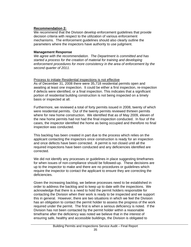### **Recommendation 2:**

We recommend that the Division develop enforcement guidelines that provide decision criteria with respect to the utilization of various enforcement mechanisms. The enforcement guidelines should also clearly outline the parameters where the inspectors have authority to use judgment.

#### **Management Response**

*We agree with the recommendation. The Department is committed and has started a process for the creation of material for training and developing enforcement procedures for more consistency in the area of enforcement by the second quarter of 2011.* 

#### Process to initiate Residential inspections is not effective

As of December 31, 2008 there were 35,718 residential permits open and awaiting at least one inspection. It could be either a first inspection, re-inspection if defects were identified, or a final inspection. This indicates that a significant portion of residential building construction is not being inspected on a timely basis or inspected at all.

Furthermore, we reviewed a total of forty permits issued in 2008, twenty of which were residential permits. Out of the twenty permits reviewed thirteen permits where for new home construction. We identified that as of May 2009, eleven of the new home permits had not had the final inspection conducted. In four of the cases, the inspector identified the home as being occupied and therefore no final inspection was conducted.

This backlog has been created in part due to the process which relies on the applicant contacting the inspectors once construction is ready for an inspection and once defects have been corrected. A permit is not closed until all the required inspections have been conducted and any deficiencies identified are corrected.

We did not identify any processes or guidelines in place suggesting timeframes for when issues of non-compliance should be followed-up. These decisions are up to the inspector to make and there are no procedures or guidelines which require the inspector to contact the applicant to ensure they are correcting the deficiencies.

Given the increasing backlog, we believe processes need to be established in order to address the backlog and to keep up to date with the inspections. We acknowledge that there is a need to hold the permit holders responsible for contacting the Division when their work is ready to be inspected and we support this in general. However, there are two situations in which we feel the Division has an obligation to contact the permit holder to assess the progress of the work required under the permit. The first is when a serious deficiency is noted. If the Division has not been contacted by the permit holder within a reasonable timeframe after the deficiency was noted we believe that in the interest of ensuring safe, healthy and accessible buildings, the Division is obligated to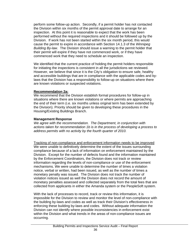perform some follow-up action. Secondly, if a permit holder has not contacted the Division within six months of the permit approval date to arrange for an inspection. At this point it is reasonable to expect that the work has been performed without the required inspections and it should be followed up by the Division. If work has not been started within the six month period, this would cause the permit to expire in accordance with Section 14.1.3 of the *Winnipeg Building By-law*. The Division should issue a warning to the permit holder that their permit will expire if they have not commenced work, or if they have commenced work that they need to schedule an inspection.

We identified that the current practice of holding the permit holders responsible for initiating the inspections is consistent in all the jurisdictions we reviewed. However, we believe that since it is the City's obligation to ensure safe, healthy and accessible buildings that are in compliance with the applicable codes and bylaws that the Division has a responsibility to follow-up on situations where there are known violations or suspected violations.

### **Recommendation 2a:**

We recommend that the Division establish formal procedures for follow-up in situations where there are known violations or where permits are approaching the end of their term (i.e. six months unless original term has been extended by the Division). Priority should be given to developing these procedures in the Housing/Existing Buildings Branch.

#### **Management Response**

*We agree with the recommendation. The Department, in conjunction with actions taken for recommendation 1b is in the process of developing a process to address permits with no activity by the fourth quarter of 2010.* 

Tracking of non-compliance and enforcement information needs to be improved We were unable to definitively determine the extent of the issues surrounding compliance because of a lack of information on enforcement maintained by the Division. Except for the number of defects found and the information maintained by the Enforcement Coordinators, the Division does not track or review information regarding the levels of non-compliance or use of the enforcement mechanisms. We were unable to determine the number of times a violation notice, verbal or written, had been issued, as well as the number of times a monetary penalty was issued. The Division does not track the number of violation notices issued as well the Division does not record the amount of monetary penalties assessed and collected separately from the total fees that are collected from applicants in either the Amanda system or the PeopleSoft system.

With the lack of processes to record, track or review this information, it is impossible for the Division to review and monitor the level of non-compliance with the building by-laws and codes as well as track their Division's effectiveness in enforcing these building by-laws and codes. Without adequate information the Division can not identify where possible inconsistencies in enforcement exist within the Division and what trends in the areas of non-compliance issues are occurring.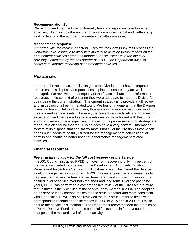### **Recommendation 2b:**

We recommend that the Division formally track and report on its enforcement activities, which include the number of violation notices verbal and written, stop work orders, and the number of monetary penalties assessed.

#### **Management Response**

*We agree with the recommendation. Through the Permits X-Press process the Department will continue to work with industry to develop formal reports on the enforcement activities agreed on though our discussions with the Industry Advisory Committee by the first quarter of 2011. The Department will also continue to improve recording of enforcement activities.* 

### *Resources*

In order to be able to accomplish its goals the Division must have adequate resources at its disposal and processes in place to ensure they are well managed. We reviewed the adequacy of the financial, human and information resources in the context of ensuring they were adequate to meet the Division's goals using the current strategy. The current strategy is to provide a full review and inspection of all permit related work. We found, in general, that the Division is moving towards full-cost recovery, thus ensuring adequate resources exist to meet current service levels. However, the current service levels are not meeting expectation and the desired service levels can not be achieved with the current staff complement unless significant changes to the processes and/or strategy are made. We also found that the Division does have a very powerful information system at its disposal that can satisfy most if not all of the Division's information needs but it needs to be fully utilized for the management of non-residential permits and should be better used for performance management related activities.

### **Financial resources**

### *Fee structure to allow for the full cost recovery of the Service*

In 2000, Council instructed PP&D to move from recovering only fifty percent of the costs associated with delivering the Development Approvals, Building Permits and Inspections Service to full cost recovery. This meant the Service would no longer be tax supported. PP&D has undertaken several measures to help ensure that service fees are fair, transparent and sufficient to support the desired level of service over both the short and long term. Over the past nine years, PP&D has performed a comprehensive review of the City's fee structure that resulted in the wider use of the service index method in 2004. The adoption of the service index method makes the fee structure fairer and more consistent with other cities. PP&D also has reviewed the fees structure three times with corresponding recommended increases in 2008 of 21% and in 2009 of 11% to ensure the service is sustainable. The Department recommended the creation of a Permit Reserve Fund to address potential fluctuations in fee revenue due to changes in the mix and level of permit activity.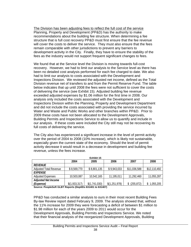The Division has been adjusting fees to reflect the full cost of the service Planning, Property and Development (PP&D) has the authority to make recommendations about the building fee structure. When determining a fee structure that is full cost recovery PP&D must first ensure that the fee revenue will cover the costs to deliver the service. They must also ensure that the fees remain comparable with other jurisdictions to prevent any barriers to development activity in the City. Finally, they have to ensure the stability of the fees as the industry would not support frequent significant changes to fees.

We found that at the Service level the Division is moving towards full-cost recovery. However, we had to limit our analysis to the Service level as there has been no detailed cost analysis performed for each fee charged to date. We also had to limit our analysis to costs associated with the Development and Inspections Division. We reviewed the adjusted net income, defined as the Total Division revenue net of transfers to and from the Permit Reserve Fund. The table below indicates that up until 2008 the fees were not sufficient to cover the costs of delivering the service (see Exhibit 15). Adjusted building fee revenue exceeded adjusted expenses by \$1.06 million for the first time in 2008. Our analysis only included the costs associated with the Development and Inspections Division within the Planning, Property and Development Department and did not include the costs associated with providing the service incurred by Water and Waste and Public Works and other branches within PP&D. Prior to 2009 these costs have not been allocated to the Development Approvals, Building Permits and Inspections Service to allow us to quantify and include in our analysis. If these costs were included the City still may not be recovering its full costs of delivering the service.

The City also has experienced a significant increase in the level of permit activity over the period of 2004 to 2008 (10% increase), which is likely not sustainable, especially given the current state of the economy. Should the level of permit activity decrease it would result in a decrease in development and building fee revenue, unless the fees increase.

| LAIINIL IJ                    |               |               |               |              |              |
|-------------------------------|---------------|---------------|---------------|--------------|--------------|
|                               | 2004          | 2005          | 2006          | 2007         | 2008         |
| <b>REVENUE</b>                |               |               |               |              |              |
| <b>Adjusted Total Revenue</b> | \$8,569,770   | \$8,801,135   | \$9,943,033   | \$11,036,588 | \$12,110,492 |
| <b>EXPENSE</b>                |               |               |               |              |              |
| <b>Adjusted Expenses</b>      | 10,503,087    | 10,542,165    | 11,195,011    | 11,292,460   | 11,055,287   |
| <b>Adjusted Net Income</b>    |               |               |               |              |              |
| <i>(Expense)</i>              | \$(1,933,317) | \$(1,741,030) | \$(1,251,978) | (255, 872)   | 1,055,205    |
| ________________              |               |               |               |              |              |

**Exhibit 15** 

**Source: PeopleSoft GLBT Reports (DeptIDs 631401 to 631407)** 

PP&D has conducted a similar analysis to ours in their most recent Building Fees By-law Review report dated February 9, 2009. The analysis showed that, without the 11% increase for 2009 they were forecasting a deficit of between \$1 million to \$1.98 million for each of the years 2009 to 2011 would occur for the Development Approvals, Building Permits and Inspections Service. We noted that their financial analysis of the reorganized Development Approvals, Building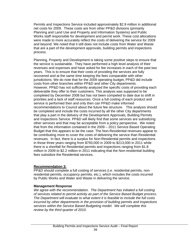Permits and Inspections Service included approximately \$2.9 million in additional net costs for 2009. These costs are from other PP&D divisions (primarily Planning and Land Use and Property and Information Systems) and Public Works staff responsible for development and permit work. These cost allocations were made to more accurately reflect the costs of delivering the service for 2009 and beyond. We noted that it still does not include costs from Water and Waste that are a part of the development approvals, building permits and inspections process.

Planning, Property and Development is taking some positive steps to ensure that the service is sustainable. They have performed a high level analysis of their revenues and expenses and have asked for fee increases in each of the past two years. This is to ensure that their costs of providing the services are fully recovered and at the same time keeping the fees comparable with other jurisdictions. We do note that for the 2009 operating budget, PP&D did include costs from other branches within PP&D and other City departments. However, PP&D has not sufficiently analyzed the specific costs of providing each deliverable they offer to their customers. This analysis was supposed to be completed by December 2008 but has not been competed to date due to shift in priorities and a lack of staff resources. Once a full costing of each product and service is performed then and only then can PP&D make informed recommendations to Council about the future fee structure. This analysis should be completed and include the costs incurred by all the other City departments that play a part in the delivery of the Development Approvals, Building Permits and Inspections Service. PP&D will likely find that some services are subsidizing other services and that may be acceptable from a policy perspective. We noted that from the information contained in the 2009 – 2011 Service Based Operating Budget that this appears to be the case. The Non-Residential revenues appear to be contributing more to cover the costs of delivering the service than Residential revenues. In fact, there is a surplus for Non-Residential permits and inspections in those three years ranging from \$793,000 in 2009 to \$213,000 in 2011 while there is a shortfall for Residential permits and inspections ranging from \$1.8 million in 2009 to \$2.2 million in 2011 indicating that the Non-residential building fees subsidize the Residential services.

### **Recommendation 3:**

PP&D should complete a full costing of services (i.e. residential permits, nonresidential permits, occupancy permits, etc.), which includes the costs incurred by Public Works and Water and Waste in delivering the service.

### **Management Response**

*We agree with the recommendation. The Department has initiated a full costing of services related to permit activity as part of the Service Based Budget process. The Department will evaluate to what extent it is feasible to include the full costs incurred by other departments in the provision of building permits and inspections services within the Service Based Budgeting model. We will complete this review by the third quarter of 2010.*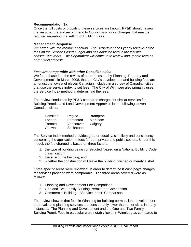#### **Recommendation 3a:**

Once the full costs of providing these services are known, PP&D should review the fee structure and recommend to Council any policy changes that may be required regarding the setting of Building Fees.

#### **Management Response**

*We agree with the recommendation. The Department has yearly reviews of the fees on the Service Based budget and has adjusted fees in the last two consecutive years. The Department will continue to review and update fees as part of this process.* 

#### *Fees are comparable with other Canadian cities*

We found based on the review of a report issued by Planning, Property and Development's in March 2008, that the City's development and building fees are amongst the lowest of eleven Canadian included in a survey of Canadian cities that use the service index to set fees. The City of Winnipeg also primarily uses the Service Index method in determining the fees.

The review conducted by PP&D compared charges for similar services for Building Permits and Land Development Approvals in the following eleven Canadian cities:

| Regina    | <b>Brampton</b> |
|-----------|-----------------|
| Edmonton  | Markham         |
| Vancouver | Calgary         |
| Saskatoon |                 |
|           |                 |

The Service Index method provides greater equality, simplicity and consistency concerning the application of fees for both private and public sectors. Under this model, the fee charged is based on three factors:

- 1. the type of building being constructed (based on a National Building Code classification);
- 2. the size of the building; and
- 3. whether the construction will leave the building finished or merely a shell.

Three specific areas were reviewed, in order to determine if Winnipeg's charges for services provided were comparable. The three areas covered were as follows:

- 1. Planning and Development Fee Comparison
- 2. One and Two Family Building Permit Fee Comparison
- 3. Commercial Building "Service Index" Comparison

The review showed that fees in Winnipeg for building permits, land development approvals and planning services are considerably lower than other cities in many instances. The Planning and Development and the One and Two Family Building Permit Fees in particular were notably lower in Winnipeg as compared to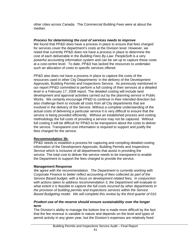other cities across Canada. The Commercial Building Fees were at about the median.

#### *Process for determining the cost of services needs to improve*

We found that PP&D does have a process in place to ensure that fees charged for services cover the department's costs at the Division level. However, we noted that currently PP&D does not have a process in place to determine the cost of each deliverable in the *Building Fees By-Law*. PeopleSoft is a very powerful accounting information system and can be set up to capture these costs at a cost-centre level. To date, PP&D has lacked the resources to undertake such an allocation of costs to specific services offered.

PP&D also does not have a process in place to capture the costs of the resources used in other City Departments' in the delivery of the Development Approvals, Building Permits and Inspections Service. As previously mentioned in our report PP&D committed to perform a full costing of their services at a detailed level in a February 17, 2008 report. The detailed costing will include land development and approval activities carried out by the planning service in Public Works. We certainly encourage PP&D to continue in their intended direction but also challenge them to include all costs from all City departments that are involved in the delivery of the Service. Without a complete understanding of the actual costs of delivering a particular service it is very difficult to ensure that the service is being provided efficiently. Without an established process and costing methodology the full costs of providing a service may not be captured. Without full costing it will be difficult for PP&D to be transparent about the costs to deliver the service. Transparent cost information is required to support and justify the fees charged for the service.

### **Recommendation 3b:**

PP&D needs to establish a process for capturing and compiling detailed costing information of the Development Approvals, Building Permits and Inspections Service which is inclusive of all departments that assist in providing the service. The total cost to deliver the service needs to be transparent to enable the Department to support the fees charged to provide the service.

### **Management Response**

*We agree with the recommendation. The Department is currently working with Corporate Finance to better reflect accounting of fees collected as part of the Service Based budget, with a focus on development related fees. In conjunction with actions taken to address recommendation 3, the Department will evaluate to what extent it is feasible to capture the full costs incurred by other departments in the provision of building permits and inspections services within the Service Based Budgeting model. We will complete this review by the third quarter of 010.* 

#### *Prudent use of the reserve should ensure sustainability over the longer term*

The Division's ability to manage the bottom line is made more difficult by the fact that the fee revenue is variable in nature and depends on the level and types of permit activity in any given year, but the Division's expenses are relatively fixed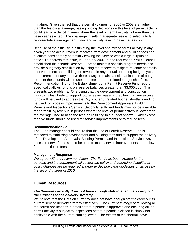in nature. Given the fact that the permit volumes for 2005 to 2008 are higher than the historical average, basing pricing decisions on this level of permit activity could lead to a deficit in years where the level of permit activity is lower than the base year selected. The challenge in setting adequate fees is to select a truly representative average permit mix and activity level to base the fees on.

Because of the difficulty in estimating the level and mix of permit activity in any given year the actual revenue received from development and building fees can fluctuate considerably potentially leaving the Service with a large surplus or deficit. To address this issue, in February 2007, at the request of PP&D, Council established the "Permit Reserve Fund" to maintain specific program needs and provide budgetary stabilization by using the reserve to mitigate revenue shortfalls in development and building fee revenue in any annual operating budget cycle. In the creation of any reserve there always remains a risk that in times of budget restraint these funds will be used to offset other unrelated budget shortfalls. Recommendation 1(d) of the Establishment of a Permit Reserve Fund report specifically allows for this on reserve balances greater than \$3,000,000. This presents two problems. One being that the development and construction industry is less likely to support future fee increases if they feel that any excess funds will be used to address the City's other unrelated budget shortfalls and not be used for process improvements to the Development Approvals, Building Permits and Inspections Service. Secondly, sufficient funds may not be available for normalizing revenue in periods where the level of permit activity is lower than the average used to base the fees on resulting in a budget shortfall. Any excess reserve funds should be used for service improvements or to reduce fees.

### **Recommendation 3c:**

The Fund manager should ensure that the use of Permit Reserve Fund is restricted to stabilizing development and building fees and to support the delivery of the Development Approvals, Building Permits and Inspections Service. Any excess reserve funds should be used to make service improvements or to allow for a reduction in fees.

### **Management Response**

*We agree with the recommendation. The Fund has been created for that purpose and the department will review the policy and determine if additional policy changes are be required in order to develop clear guidelines on its use by the second quarter of 2010.* 

### **Human Resources**

### *The Division currently does not have enough staff to effectively carry out the current service delivery strategy*

We believe that the Division currently does not have enough staff to carry out its current service delivery strategy effectively. The current strategy of reviewing all the permit applications in detail before a permit is approved and ensuring all the permit activity is subject to inspections before a permit is closed is simply not achievable with the current staffing levels. The effects of the shortfall have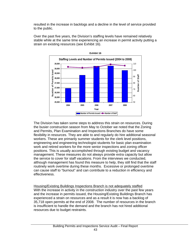resulted in the increase in backlogs and a decline in the level of service provided to the public.

Over the past five years, the Division's staffing levels have remained relatively stable while at the same time experiencing an increase in permit activity putting a strain on existing resources (see Exhibit 16).



The Division has taken some steps to address this strain on resources. During the busier construction season from May to October we noted that the Zoning and Permits, Plan Examination and Inspections Branches do have some flexibility in resources. They are able to and regularly do hire additional seasonal workers. These are primarily summer students for the clerk level positions, engineering and engineering technologist students for basic plan examination work and retired workers for the more senior inspections and zoning officer positions. This is usually accomplished through existing budget and vacancy management. These measures do not always provide extra capacity but allow the service to cover for staff vacations. From the interviews we conducted, although management has found this measure to help, they still find that the staff routinely work overtime during these months. Excessive or prolonged overtime can cause staff to "burnout" and can contribute to a reduction in efficiency and effectiveness.

Housing/Existing Buildings Inspections Branch is not adequately staffed With the increase in activity in the construction industry over the past few years and the increase in permits issued, the Housing/Existing Buildings Branch has experienced a strain on resources and as a result it is now has a backlog of 35,718 open permits at the end of 2008. The number of resources in the branch is insufficient to handle the demand and the branch has not hired additional resources due to budget restraints.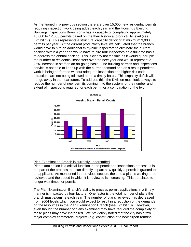As mentioned in a previous section there are over 15,000 new residential permits requiring inspection work being added each year and the Housing / Existing Buildings Inspections Branch only has a capacity of completing approximately 10,000 to 12,000 permits based on the their historical productivity level (see Exhibit 17). This represents a structural capacity deficit of at minimum 3,000 permits per year. At the current productivity level we calculated that the branch would have to hire an additional thirty-nine inspectors to eliminate the current backlog within a year and would have to hire four inspectors on a full-time basis to address the annual backlog. This is clearly not feasible as it would quadruple the number of residential inspectors over the next year and would represent a 25% increase in staff on an on-going basis. The building permits and inspections service is not able to keep up with the current demand and as a result permitted work is being performed without adequate inspection and higher risk code infractions are not being followed up on a timely basis. This capacity deficit will not go away in the near future. To address this, the Division must look at ways to reduce the number of new permits coming in to the system, or the number and extent of inspections required for each permit or a combination of the two.



### Plan Examination Branch is currently understaffed

Plan examination is a critical function in the permit and inspections process. It is the part of the process that can directly impact how quickly a permit is granted to an applicant. As mentioned in a previous section, the time a plan is waiting to be reviewed and the speed in which it is reviewed is increasing. This translates to longer wait times for permits.

The Plan Examination Branch's ability to process permit applications in a timely manner is impacted by four factors. One factor is the total number of plans the branch must examine each year. The number of plans reviewed has decreased from 2004 levels which you would expect to result in a reduction of the demands on the resources in the Plan Examination Branch (see Exhibit 18). However, even though the number of plans examined may have reduced the complexity of these plans may have increased. We previously noted that the city has a few major complex commercial projects (e.g. construction of a new airport terminal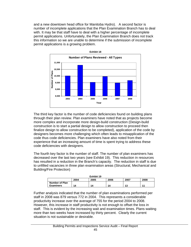and a new downtown head office for Manitoba Hydro). A second factor is number of incomplete applications that the Plan Examination Branch has to deal with. It may be that staff have to deal with a higher percentage of incomplete permit applications. Unfortunately, the Plan Examination Branch does not track this information so we are unable to determine if the submission of incomplete permit applications is a growing problem.



The third key factor is the number of code deficiencies found on building plans through their plan review. Plan examiners have noted that as projects become more complex and incorporate more design-build construction (Design-build construction is to start a partial design to allow construction to proceed then finalize design to allow construction to be completed), application of the code by designers becomes more challenging which often leads to misapplication of the code thus code deficiencies. Plan examiners have also noted from their experience that an increasing amount of time is spent trying to address these code deficiencies with designers.

The fourth key factor is the number of staff. The number of plan examiners has decreased over the last two years (see Exhibit 19). This reduction in resources has resulted in a reduction in the Branch's capacity. The reduction in staff is due to unfilled vacancies in three plan examination areas (Structural, Mechanical and Building/Fire Protection)

| Exhibit 19            |      |      |      |      |      |
|-----------------------|------|------|------|------|------|
|                       | 2004 | 2005 | 2006 | 2007 | 2008 |
| <b>Number of Plan</b> |      |      |      |      |      |
| Examiners             | 14   | 14   | 14   | 13   | 11   |

Further analysis indicated that the number of plan examinations performed per staff in 2008 was 879 versus 772 in 2004. This represents a considerable productivity increase over the average of 755 for the period 2004 to 2008. However, this increase in staff productivity is not enough to offset the loss in staff. This is evident by the increasing wait and examination times. Plans waiting more than two weeks have increased by thirty percent. Clearly the current situation is not sustainable or desirable.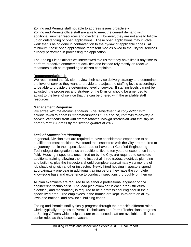### Zoning and Permits staff not able to address issues proactively

Zoning and Permits office staff are able to meet the current demand with additional summer resources and overtime. However, they are not able to followup on outstanding or open applications. These open applications may involve work that is being done in contravention to the by-law or applicable codes. At minimum, these open applications represent monies owed to the City for services already performed in processing the application.

The Zoning Field Officers we interviewed told us that they have little if any time to perform proactive enforcement activities and instead rely mostly on reactive measures such as responding to citizen complaints.

### **Recommendation 4:**

We recommend the Division review their service delivery strategy and determine the level of service they want to provide and adjust the staffing levels accordingly to be able to provide the determined level of service. If staffing levels cannot be adjusted, the processes and strategy of the Division should be amended to adjust to the level of service that the can be offered with the available staff resources.

### **Management Response**

*We agree with the recommendation. The Department, in conjunction with actions taken to address recommendations 1, 1a and 1b, commits to develop a service level consistent with staff resources through discussion with industry as part of Permit X-press by the second quarter of 2011.* 

### *Lack of Succession Planning*

In general, Division staff are required to have considerable experience to be qualified for most positions. We found that inspectors with the City are required to be journeymen in their specialized trade or have their Certified Engineering Technologist designation plus an additional five to ten years of experience in the field. Housing Inspectors, once hired on by the City, are required to complete additional training allowing them to inspect all three trades: electrical, plumbing and building, plus the inspectors should complete approximately six months of job shadowing with another inspector. Newly hired housing inspectors spend approximately one year in additional training before they have the complete knowledge base and experience to conduct inspections thoroughly on their own.

All plan examiners are required to be either a professional engineer or civil engineering technologist. The lead plan examiner in each area (structural, electrical, and mechanical) is required to be a professional engineer in their specialized area. The employees in the branch are kept up-to-date on all bylaws and national and provincial building codes.

Zoning and Permits staff typically progress through the branch's different roles. Clerks typically progress to Permit Technicians and Permit Technicians progress to Zoning Officers which helps ensure experienced staff are available to fill more senior roles as they become vacant.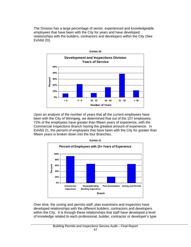The Division has a large percentage of senior, experienced and knowledgeable employees that have been with the City for years and have developed relationships with the builders, contractors and developers within the City (See Exhibit 20).



Upon an analysis of the number of years that all the current employees have been with the City of Winnipeg, we determined that out of the 107 employees, 72% of the employees have greater than fifteen years of experience, with the Commercial Inspections Branch having the greatest amount of experience. In Exhibit 21, the percent of employees that have been with the City for greater than fifteen years is broken down into the four Branches.



Over time, the zoning and permits staff, plan examiners and inspectors have developed relationships with the different builders, contractors and developers within the City. It is through these relationships that staff have developed a level of knowledge related to each professional, builder, contractor or developer's type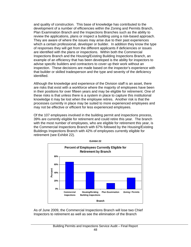and quality of construction. This base of knowledge has contributed to the development of a number of efficiencies within the Zoning and Permits Branch, Plan Examination Branch and the Inspections Branches such as the ability to review the applications, plans or inspect a building using a risk-based approach. They are aware of where the issues may arise due to their past experiences which a certain professional, developer or builder. In addition they know the type of responses they will get from the different applicants if deficiencies or issues are identified with the plans or inspections. Within both the Commercial Inspections Branch and the Housing/Existing Building Inspections Branch, an example of an efficiency that has been developed is the ability for inspectors to advise specific builders and contractors to cover up their work without an inspection. These decisions are made based on the inspector's experience with that builder or skilled tradesperson and the type and severity of the deficiency identified.

Although the knowledge and experience of the Division staff is an asset, there are risks that exist with a workforce where the majority of employees have been in their positions for over fifteen years and may be eligible for retirement. One of these risks is that unless there is a system in place to capture this institutional knowledge it may be lost when the employee retires. Another risk is that the processes currently in place may be suited to more experienced employees and may not be effective or efficient for less experienced employees.

Of the 107 employees involved in the building permit and inspections process, 39% are currently eligible for retirement and could retire this year. The branch with the most number of employees, who are eligible for retirement this year, is the Commercial Inspections Branch with 67% followed by the Housing/Existing Buildings Inspections Branch with 42% of employees currently eligible for retirement (see Exhibit 22).



As of June 2009, the Commercial Inspections Branch will lose two Chief Inspectors to retirement as well as see the elimination of the Branch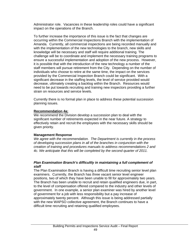Administrator role. Vacancies in these leadership roles could have a significant impact on the operations of the Branch.

To further increase the importance of this issue is the fact that changes are occurring within the Commercial Inspections Branch with the implementation of Amanda. Currently, all commercial inspections are being recorded manually and with the implementation of the new technologies to the branch, new skills and knowledge will be necessary and staff will require additional training. The challenge will be to coordinate and implement the necessary training programs to ensure a successful implementation and adoption of the new process. However, it is possible that with the introduction of the new technology a number of the staff members will pursue retirement from the City. Depending on the number of individuals who choose to retire at the same time, the impact on the services provided by the Commercial Inspection Branch could be significant. With a significant decrease in the staffing levels, the level of service provided would decrease, ultimately creating a backlog within the Branch. Resources would need to be put towards recruiting and training new inspectors providing a further strain on resources and service levels.

Currently there is no formal plan in place to address these potential succession planning issues.

#### **Recommendation 4a:**

We recommend the Division develop a succession plan to deal with the significant number of retirements expected in the near future. A strategy to effectively retain and recruit the employees with the necessary skills should be given priority.

#### **Management Response**

*We agree with the recommendation. The Department is currently in the process of developing succession plans in all of the branches in conjunction with the creation of training and procedures manuals to address recommendations 2 and 4c. We anticipate that this will be completed by the second quarter of 2011.*

#### *Plan Examination Branch's difficultly in maintaining a full complement of staff*

The Plan Examination Branch is having a difficult time recruiting senior level plan examiners. Currently, the Branch has three vacant senior level engineer positions, two of which they have been unable to fill for approximately two years. The Branch has been unable to recruit and retain qualified engineers due, in part, to the level of compensation offered compared to the industry and other levels of government. In one example, a senior plan examiner was hired by another level of government for a job with less responsibility but a pay increase of approximately twenty percent. Although this issue is being addressed partially with the new WAPSO collective agreement, the Branch continues to have a difficult time recruiting and retaining qualified employees.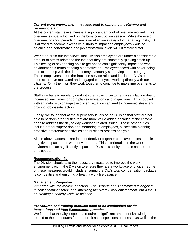### *Current work environment may also lead to difficulty in retaining and recruiting staff*

At the current staff levels there is a significant amount of overtime worked. This overtime is usually focused on the busy construction season. While the use of overtime for short periods of time is an effective strategy for managing costs, if it is allowed to become excessive it starts to impact an employee's work life balance and performance and job satisfaction levels will ultimately suffer.

We noted, from our interviews, that Division employees are under a considerable amount of stress related to the fact that they are constantly "playing catch-up". This feeling of never being able to get ahead can significantly impact the work environment in terms of being a demotivator. Employees faced with never being able to keep up with the demand may eventually stop trying and disengage. These employees are in the front line service roles and it is in the City's best interest to have motivated and engaged employees working directly with our citizens. Only then, will they work together to continue to make improvements to the process.

Staff also have to regularly deal with the growing customer dissatisfaction due to increased wait times for both plan examinations and inspections. This coupled with an inability to change the current situation can lead to increased stress and growing job dissatisfaction.

Finally, we found that at the supervisory levels of the Division that staff are not able to perform other duties that are more value added because of the chronic need to address the day to day workload related issues. These other duties include proper supervision and mentoring of employees, succession planning, proactive enforcement activities and business process analysis.

All the above factors, taken independently or together can have a considerable negative impact on the work environment. This deterioration in the work environment can significantly impact the Division's ability to retain and recruit employees.

### **Recommendation 4b:**

The Division should take the necessary measures to improve the work environment within the Division to ensure they are a workplace of choice. Some of these measures would include ensuring the City's total compensation package is competitive and ensuring a healthy work life balance.

#### **Management Response**

*We agree with the recommendation. The Department is committed to ongoing review of compensation and improving the overall work environment with a focus on creating a healthy work life balance.* 

#### *Procedures and training manuals need to be established for the Inspections and Plan Examination branches*

We found that the City inspectors require a significant amount of knowledge related to the procedures for the permit and inspections processes as well as the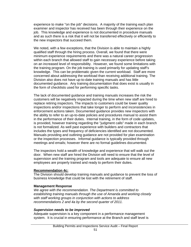experience to make "on the job" decisions. A majority of the training each plan examiner and inspector has received has been through their experience on the job. This knowledge and experience is not documented in procedure manuals and as such there is a risk that it will not be transferred effectively or efficiently to the new inspectors that succeed them.

We noted, with a few exceptions, that the Division is able to maintain a highly qualified staff through the hiring process. Overall, we found that there were minimum experience requirements and there was a natural career progression within each branch that allowed staff to gain necessary experience before taking on an increased level of responsibility. However, we found some limitations with the training program. On the job training is used primarily for updating staff's knowledge. This can be problematic given the current workload. Staff are more concerned about addressing the workload than receiving additional training. The Division also does not have up-to-date training manuals and has little documented guidance. Any training documentation that does exist is usually in the form of checklists used for performing specific tasks.

The lack of documented guidance and training manuals increases the risk the customers will be negatively impacted during the time when new staff are hired to replace retiring inspectors. The impacts to customers could be lower quality inspections and/or inspections that take longer to perform and inconsistencies in enforcement actions taken. Documented guidance provides new inspectors with the ability to refer to an up-to-date policies and procedures manual to assist them in the performance of their duties. Internal training, in the form of code updates, is provided, however training regarding the "judgment calls" made in each branch is not formalized. As well past experience with builders and contractors that includes the types and frequency of deficiencies identified are not documented. Manuals providing and outlining guidance are not provided for plan examination or the inspection processes. Informal guidance is typically provided through meetings and emails; however there are no formal guidelines documented.

The inspectors hold a wealth of knowledge and experience that will walk out the door. When new staff are hired the Division will need to ensure that the level of supervision and the training program and tools are adequate to ensure all new employees are properly trained and ready to perform their duties.

#### **Recommendation 4c:**

The Division should develop training manuals and guidance to prevent the loss of business knowledge that could be lost with the retirement of staff.

#### **Management Response**

*We agree with the recommendation. The Department is committed to establishing training manuals through the use of Amanda and working closely with staff working groups in conjunction with actions to address recommendations 2 and 4a by the second quarter of 2011.*

#### *Supervision needs to be improved*

Adequate supervision is a key component in a performance management system. It is crucial in ensuring performance at the Branch and staff level is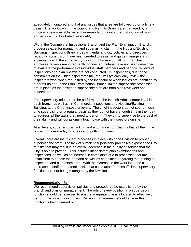adequately monitored and that any issues that arise are followed up on a timely basis. The workloads in the Zoning and Permits Branch are managed by a process already established within Amanda to monitor the distribution of work and ensure it is distributed reasonably.

Within the Commercial Inspections Branch and the Plan Examination Branch, processes exist for managing and supervising staff. In the Housing/Existing Buildings Inspections Branch, departmental and city policies and directives regarding supervision have been created to assist and guide managers and supervisors with the supervisory function. However, in all four branches, employee reviews are infrequently conducted, criteria have not been developed to evaluate the performance of individual staff members and periodic reviews of inspections and plan reviews are not conducted. In Inspections, due to the constraints on the Chief Inspectors time, they will typically only review the inspectors work when requested by the inspector or when issues are identified by a permit holder. In the Plan Examination Branch limited supervisory processes are in place as the assigned supervisory staff are both plan reviewers and supervisors.

The supervisory roles are to be performed at the Branch Administrator level in each branch as well as, in Commercial Inspections and Housing/Existing Building, at the Chief Inspector levels. The chief inspectors do not spend much time supervising on a regular basis as they do not have enough time in their day to address all the tasks they need to perform. They try to supervise to the best of their ability and will occasionally touch base with the inspectors on site.

At all levels, supervision is lacking and a common compliant is that all their time is spent on day-to-day business and 'putting out fires'.

Overall there are insufficient processes in place within the Division to properly supervise the staff. The lack of sufficient supervisory processes exposes the City to risks that may result in an overall decrease in the quality of service that the City is able to provide. This includes inconsistent plan examinations and inspections, as well as an increase in complaints due to processes that are insufficient to handle the demand as well as complaints regarding the training of inspectors and plan examiners. With the increase in the work load and a decrease in staff, the potential risks that could arise from insufficient supervisory functions are not being managed by the Division.

#### **Recommendation 4d:**

We recommend supervision policies and procedures be established by the branch and division management. The role of every position in a supervisory function should be reviewed to ensure adequate time is allocated to effectively perform the supervisory duties. Division management should ensure this function is being carried out.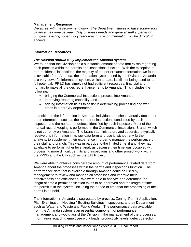#### **Management Response**

*We agree with the recommendation. The Department strives to have supervisors balance their time between daily business needs and general staff supervision but given existing supervisory resources this recommendation will be difficult to achieve.* 

#### **Information Resources**

#### *The Division should fully implement the Amanda system*

We found that the Division has a substantial amount of data that exists regarding each process within the permits and inspections function. With the exception of non-residential inspections, the majority of the performance information we found is available from Amanda, the information system used by the Division. Amanda is a very powerful information system, which to date, is still not being used to its full potential. PP&D has simply not had sufficient resources, financial and human, to make all the desired enhancements to Amanda. This includes the following:

- bringing the Commercial Inspections process into Amanda,
- improving reporting capability, and
- adding information fields to assist in determining processing and wait times in other City departments.

In addition to the information in Amanda, individual branches manually document other information, such as the number of inspections conducted by each inspector and the number of defects identified by each inspector. Most of the manual record keeping is performed in the Commercial Inspections Branch which is not currently on Amanda. The branch administrators and supervisors typically receive this information in its raw data form and use it, without any further analysis, to supplement their experience in order to manage the performance of their staff and branch. This was in part due to the limited time, if any, they had available to perform higher level analysis because their time was occupied with processing more difficult permits and inspections and other project work within the PP&D and the City such as the 311 Project.

We were able to obtain a considerable amount of performance related data from Amanda about the processes within the permit and inspections function. The performance data that is available through Amanda could be used by management to review and manage all processes and improve their effectiveness and efficiencies. We were able to analyze and determine the length of time a permit application takes to be approved and the length of time the permit is in the system, including the period of time that the processing of the permit is on hold.

The information in Amanda is segregated by process: Zoning, Permit Application, Plan Examination, Housing / Existing Buildings Inspections, and by Department such as Water and Waste and Public Works. The performance data available from the Amanda system is an essential component of performance management and would assist the Division in the management of the processes. Information regarding employee work loads, productivity levels, defect detection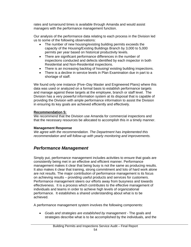rates and turnaround times is available through Amanda and would assist managers with the performance management function.

Our analysis of the performance data relating to each process in the Division led us to some of the following observations:

- The number of new housing/existing building permits exceeds the capacity of the Housing/Existing Buildings Branch by 3,000 to 5,000 permits per year based on historical productivity levels.
- There are significant performance differences in the number of inspections conducted and defects identified by each inspector in both Residential and Non-Residential inspections.
- There is an increasing backlog of housing/ existing building inspections.
- There is a decline in service levels in Plan Examination due in part to a shortage of staff.

We found only one instance (Five–Day Master and Engineered Plans) where this data was used or analyzed on a formal basis to establish performance targets and manage against these targets at the employee, branch or staff level. The Division has a very powerful information system at its disposal that is capable of providing the Division with ample performance information to assist the Division in ensuring its key goals are achieved efficiently and effectively.

### **Recommendation 5:**

We recommend that the Division use Amanda for commercial inspections and that the necessary resources be allocated to accomplish this in a timely manner.

### **Management Response**

*We agree with the recommendation. The Department has implemented this recommendation and will follow-up with yearly monitoring and improvements.* 

# *Performance Management*

Simply put, performance management includes activities to ensure that goals are consistently being met in an effective and efficient manner. Performance management makes it clear that being busy is not the same as producing results. It also makes it clear that training, strong commitment and lots of hard work alone are not results. The major contribution of performance management is its focus on achieving results – providing useful products and services for customers. Performance management steers our efforts away from busyness and towards effectiveness. It is a process which contributes to the effective management of individuals and teams in order to achieve high levels of organizational performance. It establishes a shared understanding about what is to be achieved.

A performance management system involves the following components:

• *Goals and strategies are established by management -* The goals and strategies describe what is to be accomplished by the individuals, and the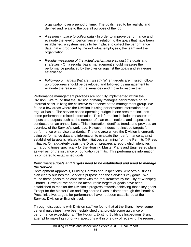organization over a period of time. The goals need to be realistic and defined and relate to the overall purpose of the job.

- *A system in place to collect data* In order to improve performance and evaluate the level of performance in relation to the goals that have been established, a system needs to be in place to collect the performance data that is produced by the individual employees, the team and the organization.
- *Regular measuring of the actual performance against the goals and strategies -* On a regular basis management should measure the performance produced by the division against the goals and strategies established.
- *Follow-up on targets that are missed* When targets are missed, followup procedures should be developed and followed by management to evaluate the reasons for the variances and move to resolve them.

Performance management practices are not fully implemented within the Division. We found that the Division primarily manages performance on an informal basis utilizing the collective experience of the management group. We found a few areas where the Division is using performance information on a regular basis. The service based operating budget is one area that includes some performance related information. This information includes measures of inputs and outputs such as the number of plan examinations and inspections conducted on an annual basis. This information identifies trends and provides an overview of the Service's work load. However, it does not include targets for performance or service standards. The one area where the Division is currently using performance data and information to evaluate their performance against established targets is related to the initiatives stemming from the Permits X-Press initiative. On a quarterly basis, the Division prepares a report which identifies turnaround times specifically for the Housing Master Plans and Engineered plans as well as for the issuance of foundation permits. This performance information is compared to established goals.

### *Performance goals and targets need to be established and used to manage the Service*

Development Approvals, Building Permits and Inspections Service's business plan clearly outlines the Service's purpose and the Service's key goals. We found these goals to be consistent with the requirements by the City of Winnipeg Charter. However, we noted no measurable targets or goals have been established to monitor the Division's progress towards achieving those key goals. Except for the Master Plan and Engineered Plans initiated through the Permit X-Press initiative, targets for performance have not been established at the Service, Division or Branch level.

Through discussions with Division staff we found that at the Branch level some general guidelines have been established that provide some guidance on performance expectations. The Housing/Existing Buildings Inspections Branch attempt to make high priority inspections within one day of receiving the request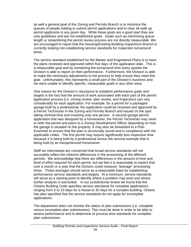as well a general goal of the Zoning and Permits Branch is to minimize the queues of people waiting to submit permit applications and to clear all walk up permit applicants in any given day. While these goals are a good start they are only guidelines and are not established goals. Goals such as minimizing queue length or streamlining the permit review process are not directly measurable. We are encouraged to report that the Housing/Existing Building Inspections Branch is currently looking into establishing service standards for inspection turnaround times.

The service standard established for the Master and Engineered Plans is to have the plans reviewed and approved within five days of the application date. This is a measurable goal and by monitoring the turnaround time every quarter the Division is able to report on their performance. Furthermore, the Division is able to make the necessary adjustments to the process to help ensure they meet this goal. Unfortunately, this represents a small part of the Division's business and we were unable to identify specific, measurable goals in any other area.

One reason for the Division's reluctance to establish performance goals and targets is the fact that the amount of work associated with each part of the permit application process (i.e. zoning review, plan review, and inspection) can vary considerably for each application. For example, for a permit for a packaged garage built by a professional, the application could be received and approved by a Permit Technician in the Zoning and Permits Branch and issued on the spot taking minimal time and involving only one person. A second garage permit application that was designed by a homeowner, the Permit Technician may need to refer the permit and plans to a Zoning Development Officer depending on how the garage is situated on the property. It may also be forwarded to a Plan Examiner to ensure that the plan is structurally sound and in compliance with the applicable codes. The first permit may require significantly less inspection time because it is being built by a professional versus the second example that is being built by an inexperienced homeowner.

Staff we interviewed are concerned that broad service standards will not accurately reflect the inherent differences in the processing of the different permits. We acknowledge that there are differences in the amount of time and level of effort required for each permit, but we feel it is reasonable to expect that over a month or a year that the Division could measure "average" processing times. These averages should serve as a reasonable base for establishing performance service standards and targets. At a minimum, service standards will serve as a starting point to identify where a problem may exist and where further analysis is warranted. In our jurisdictional review we found that the Ontario Building Code specifies service standards for complete applications ranging from 5 to 10 days for a house to 30 days for a complex building. Ontario has also specified that the service standards do not apply for incomplete applications.

The department does not monitor the status of plan submissions (i.e. complete versus incomplete plan submissions). This must be done in order to be able to assess performance and to determine of process time standards for complete plan submissions.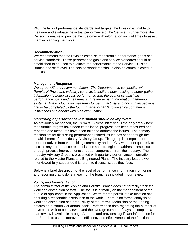With the lack of performance standards and targets, the Division is unable to measure and evaluate the actual performance of the Service. Furthermore, the Division is unable to provide the customer with information on wait times to assist them in planning their work.

#### **Recommendation 6:**

We recommend that the Division establish measurable performance goals and service standards. These performance goals and service standards should be established to be used to evaluate the performance at the Service, Division, Branch and staff level. The service standards should also be communicated to the customer.

#### **Management Response**

*We agree with the recommendation. The Department, in conjunction with Permits X-Press and industry, commits to institute new tracking to better gather information to better assess performance with the goal of establishing performance goals and measures and refine existing information gathering systems. We will focus on measures for permit activity and housing inspections first to be completed by the fourth quarter of 2010, followed by commercial inspections and ending with plan examination.*

#### *Monitoring of performance information should be improved*

As previously mentioned, the Permits X-Press initiatives is the only area where measurable targets have been established, progress has been measured and reported and measures have been taken to address the issues. The primary mechanism for discussing performance related issues has been through the establishment of the Industry Advisory Group. This group is composed of representatives from the building community and the City who meet quarterly to discuss any performance related issues and strategies to address these issues through process improvements or better cooperation from the industry. The Industry Advisory Group is presented with quarterly performance information related to the Master Plans and Engineered Plans. The industry leaders we interviewed fully supported this forum to discuss issues they face.

Below is a brief description of the level of performance information monitoring and reporting that is done in each of the branches included in our review.

#### *Zoning and Permits Branch*

The administrator of the Zoning and Permits Branch does not formally track the workload distribution of staff. The focus is primarily on the management of the queue of applicants in the Application Centre for the permit intake function and ensuring a reasonable distribution of the work. There is no formal analysis of workload distribution and productivity of the Permit Technician or the Zoning officers on a monthly or annual basis. Performance data regarding the number of days plans wait to be reviewed and the average number of days to complete a plan review is available through Amanda and provides significant information for the Branch to use to improve the efficiency and effectiveness of the function.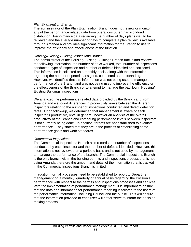#### *Plan Examination Branch*

The administrator of the Plan Examination Branch does not review or monitor any of the performance related data from operations other than workload distribution. Performance data regarding the number of days plans wait to be reviewed and the average number of days to complete a plan review is available through Amanda and provides significant information for the Branch to use to improve the efficiency and effectiveness of the function.

#### *Housing/Existing Building Inspections Branch*

The administrator of the Housing/Existing Buildings Branch tracks and reviews the following information: the number of days worked, total number of inspections conducted, type of inspection and number of defects identified and corrected. This information is collected on a monthly basis, along with the information regarding the number of permits assigned, completed and outstanding. However, we identified that this information was not being used to manage the performance of the Branch and was not being used to improve the efficiency or the effectiveness of the Branch or to attempt to manage the backlog in Housing/ Existing Buildings inspections.

We analyzed the performance related data provided by the Branch and from Amanda and we found differences in productivity levels between the different inspectors relating to the number of inspections conducted and defect detection rates. Upon follow-up, we determined that management is aware of each inspector's productivity level in general; however an analysis of the overall productivity of the Branch and comparing performance levels between inspectors is not currently being done. In addition, targets are not established to evaluate performance. They stated that they are in the process of establishing some performance goals and work standards.

### *Commercial Inspections*

The Commercial Inspections Branch also records the number of inspections conducted by each inspector and the number of defects identified. However, this information is not reviewed on a periodic basis and is not used by management to manage the performance of the branch. The Commercial Inspections Branch is the only branch within the building permits and inspections process that is not using Amanda therefore the amount and detail of the information that is tracked in the Commercial Inspections Branch is limited.

In addition, formal processes need to be established to report to Department management on a monthly, quarterly or annual basis regarding the Division's performance with respect to the permits and inspections processes and services. With the implementation of performance management, it is important to ensure that the data and information for performance reporting is tailored to the users of the performance information, including Council and the public. This will ensure that the information provided to each user will better serve to inform the decision making process.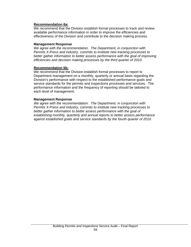#### **Recommendation 6a:**

We recommend that the Division establish formal processes to track and review available performance information in order to improve the efficiencies and effectiveness of the Division and contribute to the decision making process.

#### **Management Response**

*We agree with the recommendation. The Department, in conjunction with Permits X-Press and industry, commits to institute new tracking processes to better gather information to better assess performance with the goal of improving efficiencies and decision making processes by the third quarter of 2010.* 

#### **Recommendation 6b:**

We recommend that the Division establish formal processes to report to Department management on a monthly, quarterly or annual basis regarding the Division's performance with respect to the established performance goals and service standards for the permits and inspections processes and services. The performance information and the frequency of reporting should be tailored to each level of management.

#### **Management Response**

*We agree with the recommendation. The Department, in conjunction with Permits X-Press and industry, commits to institute new tracking processes to better gather information to better assess performance with the goal of establishing monthly, quarterly and annual reports to better assess performance against established goals and service standards by the fourth quarter of 2010.*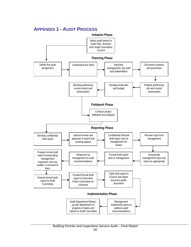# **APPENDIX 1 - AUDIT PROCESS**

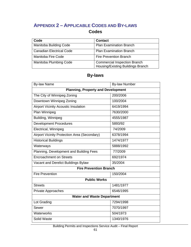# **APPENDIX 2 – APPLICABLE CODES AND BY-LAWS**

## **Codes**

| Code                            | <b>Contact</b>                      |
|---------------------------------|-------------------------------------|
| <b>Manitoba Building Code</b>   | <b>Plan Examination Branch</b>      |
| <b>Canadian Electrical Code</b> | <b>Plan Examination Branch</b>      |
| Manitoba Fire Code              | <b>Fire Prevention Branch</b>       |
| <b>Manitoba Plumbing Code</b>   | <b>Commercial Inspection Branch</b> |
|                                 | Housing/Existing Buildings Branch   |

# **By-laws**

| <b>By-law Name</b>                                  | <b>By-law Number</b> |  |  |
|-----------------------------------------------------|----------------------|--|--|
| <b>Planning, Property and Development</b>           |                      |  |  |
| The City of Winnipeg Zoning                         | 200/2006             |  |  |
| Downtown Winnipeg Zoning                            | 100/2004             |  |  |
| <b>Airport Vicinity Acoustic Insulation</b>         | 6419/1994            |  |  |
| Plan Winnipeg                                       | 7630/2000            |  |  |
| Building, Winnipeg                                  | 4555/1987            |  |  |
| <b>Development Procedures</b>                       | 5893/92              |  |  |
| Electrical, Winnipeg                                | 74/2009              |  |  |
| <b>Airport Vicinity Protection Area (Secondary)</b> | 6378/1994            |  |  |
| <b>Historical Buildings</b>                         | 1474/1977            |  |  |
| Waterways                                           | 5888/1992            |  |  |
| Planning, Development and Building Fees             | 77/2009              |  |  |
| <b>Encroachment on Streets</b>                      | 692/1974             |  |  |
| Vacant and Derelict Buildings Bylaw                 | 35/2004              |  |  |
| <b>Fire Prevention Branch</b>                       |                      |  |  |
| <b>Fire Prevention</b>                              | 150/2004             |  |  |
| <b>Public Works</b>                                 |                      |  |  |
| <b>Streets</b>                                      | 1481/1977            |  |  |
| Private Approaches                                  | 6546/1995            |  |  |
| <b>Water and Waste Department</b>                   |                      |  |  |
| Lot Grading                                         | 7294/1998            |  |  |
| Sewer                                               | 7070/1997            |  |  |
| Waterworks                                          | 504/1973             |  |  |
| Solid Waste                                         | 1340/1976            |  |  |

Building Permits and Inspections Service Audit – Final Report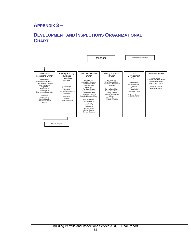# **APPENDIX 3 –**

# **DEVELOPMENT AND INSPECTIONS ORGANIZATIONAL CHART**

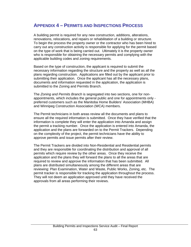## **APPENDIX 4 – PERMITS AND INSPECTIONS PROCESS**

A building permit is required for any new construction, additions, alterations, renovations, relocations, and repairs or rehabilitation of a building or structure. To begin the process the property owner or the contractor who has been hired to carry out any construction activity is responsible for applying for the permit based on the type of work that is being carried out. Ultimately it is the property owner who is responsible for obtaining the necessary permits and complying with the applicable building codes and zoning requirements.

Based on the type of construction, the applicant is required to submit the necessary information regarding the structure and the property as well as all the plans regarding construction. Applications are filled out by the applicant prior to submitting their application. Once the applicant has all the necessary plans, documents and information requested in the application, the application is submitted to the Zoning and Permits Branch.

The *Zoning and Permits Branch* is segregated into two sections, one for nonappointments, which includes the general public and one for appointments only preferred customers such as the Manitoba Home Builders' Association (MHBA) and Winnipeg Construction Association (WCA) members.

The Permit technicians in both areas review all the documents and plans to ensure all the required information is submitted. Once they have verified that the information is complete they will enter the application into Amanda and assign the permit a tracking number. Once the application is entered into Amanda, the application and the plans are forwarded on to the Permit Trackers. Depending on the complexity of the project, the permit technicians have the ability to approve permits and issue permits after their review.

The Permit Trackers are divided into Non-Residential and Residential permits and they are responsible for coordinating the distribution and approval of all permits which require review by the other areas. Once they receive the application and the plans they will forward the plans to all the areas that are required to review and approve the information that has been submitted. All plans are distributed simultaneously among the different areas that are reviewing: Plan Examination, Water and Waste, Public Works, Zoning, etc. The permit tracker is responsible for tracking the application throughout the process. They will not deem an application approved until they have received the approvals from all areas performing their reviews.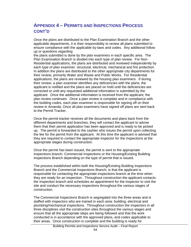## **APPENDIX 4 – PERMITS AND INSPECTIONS PROCESS CONT'D**

Once the plans are distributed to the Plan Examination Branch and the other applicable departments, it is their responsibility to review all plans submitted to ensure compliance with the applicable by-laws and codes. Any additional follow up or questions regarding

the plans submitted is done by the plan examiners in each specific area. The Plan Examination Branch is divided into each type of plan review. For Non-Residential applications, the plans are distributed and reviewed independently by each type of plan examiner: structural, electrical, mechanical and fire protection. In addition the plans are distributed to the other appropriate city departments for their review, primarily Water and Waste and Public Works. For Residential applications, the plans are reviewed by the housing plan examiners. If during their review, a plan examiner identifies any deficiencies with the plans, the applicant is notified and the plans are placed on hold until the deficiencies are corrected or until any requested additional information is submitted by the applicant. Once the additional information is received from the applicant, the plan review continues. Once a plan review is complete and in compliance with the building codes, each plan examiner is responsible for signing off on their review in Amanda. Once all plan examiners have signed off plans are sent back to the Permit Tracker.

Once the permit tracker receives all the documents and plans back from the different departments and branches, they will contact the applicant to advise them that their permit application has been approved and is ready to be picked up. The permit is forwarded to the cashier who issues the permit upon collecting the fee for the permit from the applicant. At this time the applicant is advised that they are required to contact the appropriate inspector for the inspections at the appropriate stages during construction.

Once the permit has been issued, the permit is sent to the appropriate inspections branch: Commercial Inspections or the Housing/Existing Building Inspections Branch depending on the type of permit that is issued.

The process established within both the Housing/Existing Building Inspections Branch and the Commercial Inspections Branch, is that the applicant is responsible for contacting the appropriate inspections branch at the time when they are ready for an inspection. Throughout construction the applicant contacts the inspection branch and schedules an appointment for the inspector to visit the site and conduct the necessary inspections throughout the various stages of construction.

The Commercial Inspections Branch is segregated into the three areas and is staffed with inspectors who are trained in each area: building, electrical and plumbing/mechanical inspections. Throughout construction the inspectors in all three disciplines visit the construction sites throughout the various stages and ensure that all the appropriate steps are being followed and that the work conducted is in accordance with the approved plans, and codes applicable to their areas. Once construction is complete and the building is ready for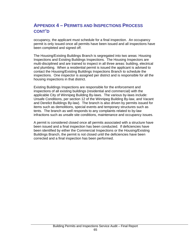# **APPENDIX 4 – PERMITS AND INSPECTIONS PROCESS CONT'D**

occupancy, the applicant must schedule for a final inspection. An occupancy permit is only issued once all permits have been issued and all inspections have been completed and signed off.

The Housing/Existing Buildings Branch is segregated into two areas: Housing Inspections and Existing Buildings Inspections. The Housing Inspectors are multi-disciplined and are trained to inspect in all three areas: building, electrical and plumbing. When a residential permit is issued the applicant is advised to contact the Housing/Existing Buildings Inspections Branch to schedule the inspections. One inspector is assigned per district and is responsible for all the housing inspections in that district.

Existing Buildings Inspections are responsible for the enforcement and inspections of all existing buildings (residential and commercial) with the applicable City of Winnipeg Building By-laws. The various by-laws include: Unsafe Conditions, per section 12 of the Winnipeg Building By-law, and Vacant and Derelict Buildings By-law). The branch is also driven by permits issued for items such as demolitions, special events and temporary structures such as tents. The branch as well responds to any complaints related to by-law infractions such as unsafe site conditions, maintenance and occupancy issues.

A permit is considered closed once all permits associated with a structure have been issued and a final inspection has been conducted. If deficiencies have been identified by either the Commercial Inspections or the Housing/Existing Buildings Branch, the permit is not closed until the deficiencies have been corrected and a final inspection has been performed.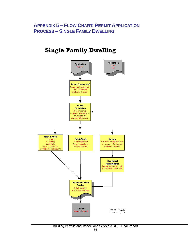# **APPENDIX 5 – FLOW CHART: PERMIT APPLICATION PROCESS – SINGLE FAMILY DWELLING**

# **Single Family Dwelling**

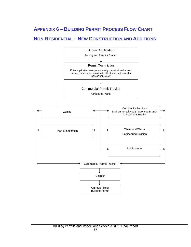# **APPENDIX 6 – BUILDING PERMIT PROCESS FLOW CHART**

# **NON-RESIDENTIAL – NEW CONSTRUCTION AND ADDITIONS**

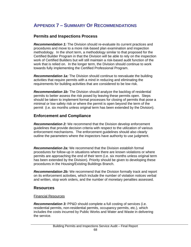# **APPENDIX 7 – SUMMARY OF RECOMMENDATIONS**

## **Permits and Inspections Process**

*Recommendation 1:* The Division should re-evaluate its current practices and procedures and move to a more risk-based plan examination and inspection methodology. In the short term, a methodology similar to that proposed for the Certified Builder Program in that the Division will be able to rely on the inspection work of Certified Builders but will still maintain a risk-based audit function of the work that is relied on. In the longer term, the Division should continue to work towards fully implementing the Certified Professional Program.

*Recommendation 1a:* The Division should continue to reevaluate the building activities that require permits with a mind in reducing and eliminating the requirements for building activities that are considered to be low risk.

*Recommendation 1b:* The Division should analyze the backlog of residential permits to better assess the risk posed by leaving these permits open. Steps should be taken to implement formal processes for closing of permits that pose a minimal or low safety risk or where the permit is open beyond the term of the permit (i.e. six months unless original term has been extended by the Division).

## **Enforcement and Compliance**

*Recommendation 2:* We recommend that the Division develop enforcement guidelines that provide decision criteria with respect to the utilization of various enforcement mechanisms. The enforcement guidelines should also clearly outline the parameters where the inspectors have authority to use judgment.

*Recommendation 2a:* We recommend that the Division establish formal procedures for follow-up in situations where there are known violations or where permits are approaching the end of their term (i.e. six months unless original term has been extended by the Division). Priority should be given to developing these procedures in the Housing/Existing Buildings Branch.

*Recommendation 2b:* We recommend that the Division formally track and report on its enforcement activities, which include the number of violation notices verbal and written, stop work orders, and the number of monetary penalties assessed.

### **Resources**

### Financial Resources

*Recommendation 3:* PP&D should complete a full costing of services (i.e. residential permits, non-residential permits, occupancy permits, etc.), which includes the costs incurred by Public Works and Water and Waste in delivering the service.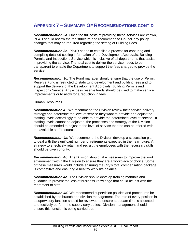# **APPENDIX 7 – SUMMARY OF RECOMMENDATIONS CONT'D**

*Recommendation 3a:* Once the full costs of providing these services are known, PP&D should review the fee structure and recommend to Council any policy changes that may be required regarding the setting of Building Fees.

*Recommendation 3b:* PP&D needs to establish a process for capturing and compiling detailed costing information of the Development Approvals, Building Permits and Inspections Service which is inclusive of all departments that assist in providing the service. The total cost to deliver the service needs to be transparent to enable the Department to support the fees charged to provide the service.

*Recommendation 3c:* The Fund manager should ensure that the use of Permit Reserve Fund is restricted to stabilizing development and building fees and to support the delivery of the Development Approvals, Building Permits and Inspections Service. Any excess reserve funds should be used to make service improvements or to allow for a reduction in fees.

#### Human Resources

*Recommendation 4:* We recommend the Division review their service delivery strategy and determine the level of service they want to provide and adjust the staffing levels accordingly to be able to provide the determined level of service. If staffing levels cannot be adjusted, the processes and strategy of the Division should be amended to adjust to the level of service that the can be offered with the available staff resources.

*Recommendation 4a:* We recommend the Division develop a succession plan to deal with the significant number of retirements expected in the near future. A strategy to effectively retain and recruit the employees with the necessary skills should be given priority.

*Recommendation 4b:* The Division should take measures to improve the work environment within the Division to ensure they are a workplace of choice. Some of these measures would include ensuring the City's total compensation package is competitive and ensuring a healthy work life balance.

*Recommendation 4c:* The Division should develop training manuals and guidance to prevent the loss of business knowledge that could be lost with the retirement of staff.

*Recommendation 4d:* We recommend supervision policies and procedures be established by the branch and division management. The role of every position in a supervisory function should be reviewed to ensure adequate time is allocated to effectively perform the supervisory duties. Division management should ensure this function is being carried out.